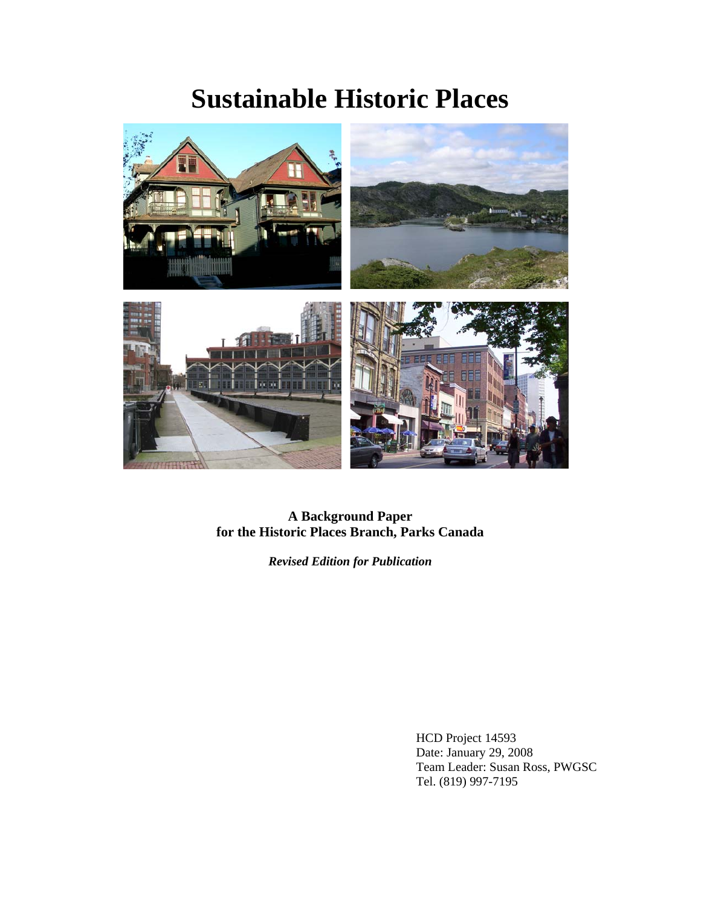# **Sustainable Historic Places**



**A Background Paper for the Historic Places Branch, Parks Canada**

*Revised Edition for Publication* 

HCD Project 14593 Date: January 29, 2008 Team Leader: Susan Ross, PWGSC Tel. (819) 997-7195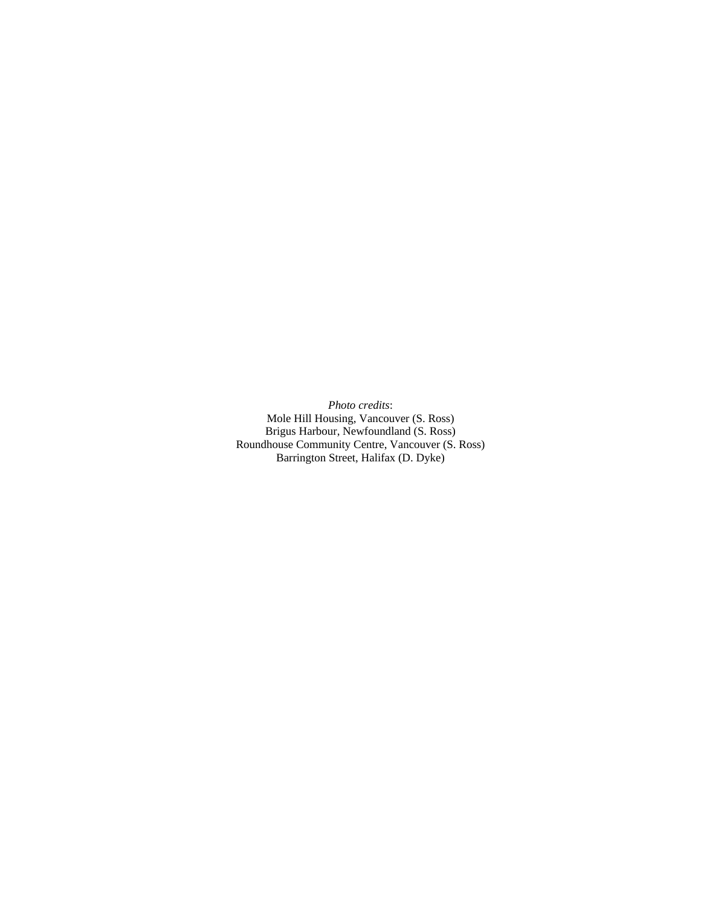*Photo credits*: Mole Hill Housing, Vancouver (S. Ross) Brigus Harbour, Newfoundland (S. Ross) Roundhouse Community Centre, Vancouver (S. Ross) Barrington Street, Halifax (D. Dyke)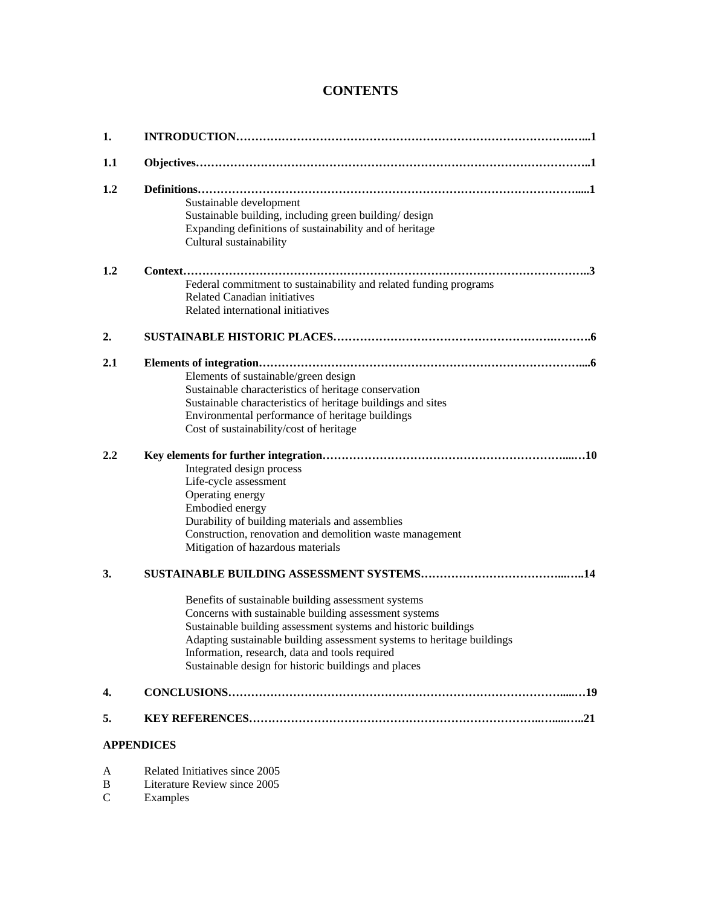# **CONTENTS**

| 1.  |                                                                                                                                                                                                                                                                                                                                                                    |
|-----|--------------------------------------------------------------------------------------------------------------------------------------------------------------------------------------------------------------------------------------------------------------------------------------------------------------------------------------------------------------------|
| 1.1 |                                                                                                                                                                                                                                                                                                                                                                    |
| 1.2 | Sustainable development<br>Sustainable building, including green building/design<br>Expanding definitions of sustainability and of heritage<br>Cultural sustainability                                                                                                                                                                                             |
| 1.2 | Federal commitment to sustainability and related funding programs<br><b>Related Canadian initiatives</b><br>Related international initiatives                                                                                                                                                                                                                      |
| 2.  |                                                                                                                                                                                                                                                                                                                                                                    |
| 2.1 | Elements of sustainable/green design<br>Sustainable characteristics of heritage conservation<br>Sustainable characteristics of heritage buildings and sites<br>Environmental performance of heritage buildings<br>Cost of sustainability/cost of heritage                                                                                                          |
| 2.2 | Integrated design process<br>Life-cycle assessment<br>Operating energy<br>Embodied energy<br>Durability of building materials and assemblies<br>Construction, renovation and demolition waste management<br>Mitigation of hazardous materials                                                                                                                      |
| 3.  | Benefits of sustainable building assessment systems<br>Concerns with sustainable building assessment systems<br>Sustainable building assessment systems and historic buildings<br>Adapting sustainable building assessment systems to heritage buildings<br>Information, research, data and tools required<br>Sustainable design for historic buildings and places |
| 4.  |                                                                                                                                                                                                                                                                                                                                                                    |
| 5.  |                                                                                                                                                                                                                                                                                                                                                                    |
|     | <b>APPENDICES</b>                                                                                                                                                                                                                                                                                                                                                  |
| A   | Related Initiatives since 2005                                                                                                                                                                                                                                                                                                                                     |

- B Literature Review since 2005
- C Examples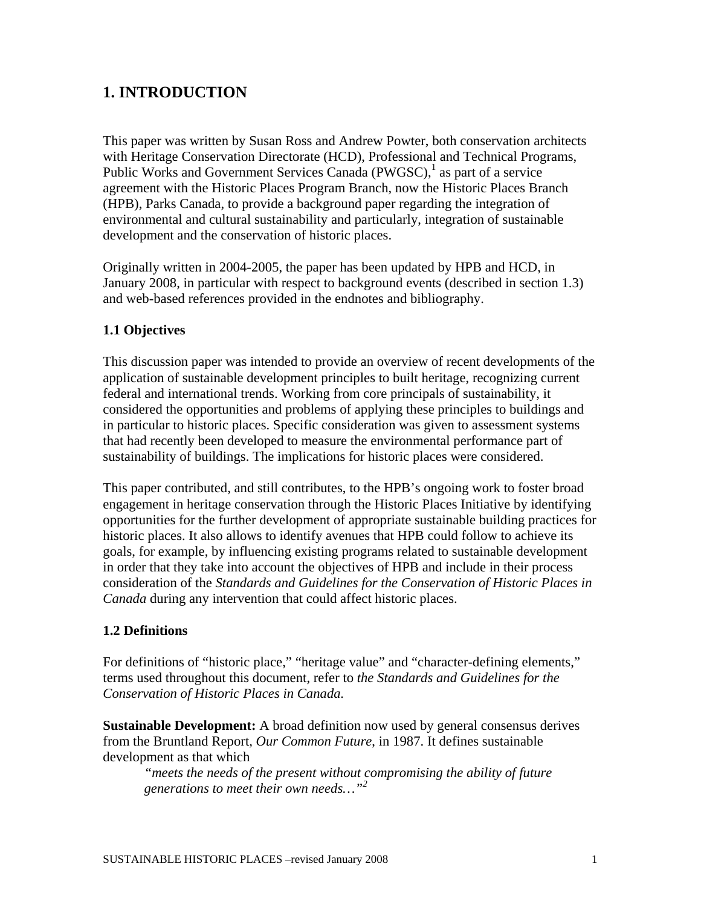# **1. INTRODUCTION**

This paper was written by Susan Ross and Andrew Powter, both conservation architects with Heritage Conservation Directorate (HCD), Professional and Technical Programs, Public Works and Government Services Canada (PWGSC),<sup>1</sup> as part of a service agreement with the Historic Places Program Branch, now the Historic Places Branch (HPB), Parks Canada, to provide a background paper regarding the integration of environmental and cultural sustainability and particularly, integration of sustainable development and the conservation of historic places.

Originally written in 2004-2005, the paper has been updated by HPB and HCD, in January 2008, in particular with respect to background events (described in section 1.3) and web-based references provided in the endnotes and bibliography.

## **1.1 Objectives**

This discussion paper was intended to provide an overview of recent developments of the application of sustainable development principles to built heritage, recognizing current federal and international trends. Working from core principals of sustainability, it considered the opportunities and problems of applying these principles to buildings and in particular to historic places. Specific consideration was given to assessment systems that had recently been developed to measure the environmental performance part of sustainability of buildings. The implications for historic places were considered.

This paper contributed, and still contributes, to the HPB's ongoing work to foster broad engagement in heritage conservation through the Historic Places Initiative by identifying opportunities for the further development of appropriate sustainable building practices for historic places. It also allows to identify avenues that HPB could follow to achieve its goals, for example, by influencing existing programs related to sustainable development in order that they take into account the objectives of HPB and include in their process consideration of the *Standards and Guidelines for the Conservation of Historic Places in Canada* during any intervention that could affect historic places.

#### **1.2 Definitions**

For definitions of "historic place," "heritage value" and "character-defining elements," terms used throughout this document, refer to *the Standards and Guidelines for the Conservation of Historic Places in Canada.* 

**Sustainable Development:** A broad definition now used by general consensus derives from the Bruntland Report*, Our Common Future*, in 1987. It defines sustainable development as that which

*"meets the needs of the present without compromising the ability of future generations to meet their own needs…"<sup>2</sup>*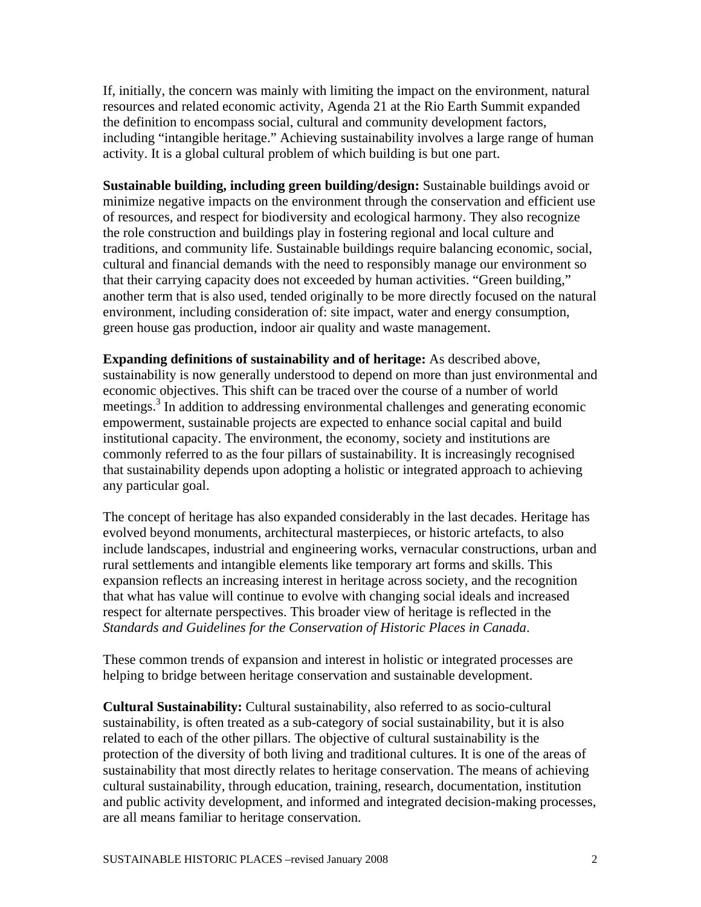If, initially, the concern was mainly with limiting the impact on the environment, natural resources and related economic activity, Agenda 21 at the Rio Earth Summit expanded the definition to encompass social, cultural and community development factors, including "intangible heritage." Achieving sustainability involves a large range of human activity. It is a global cultural problem of which building is but one part.

**Sustainable building, including green building/design:** Sustainable buildings avoid or minimize negative impacts on the environment through the conservation and efficient use of resources, and respect for biodiversity and ecological harmony. They also recognize the role construction and buildings play in fostering regional and local culture and traditions, and community life. Sustainable buildings require balancing economic, social, cultural and financial demands with the need to responsibly manage our environment so that their carrying capacity does not exceeded by human activities. "Green building," another term that is also used, tended originally to be more directly focused on the natural environment, including consideration of: site impact, water and energy consumption, green house gas production, indoor air quality and waste management.

**Expanding definitions of sustainability and of heritage:** As described above, sustainability is now generally understood to depend on more than just environmental and economic objectives. This shift can be traced over the course of a number of world meetings.<sup>3</sup> In addition to addressing environmental challenges and generating economic empowerment, sustainable projects are expected to enhance social capital and build institutional capacity. The environment, the economy, society and institutions are commonly referred to as the four pillars of sustainability. It is increasingly recognised that sustainability depends upon adopting a holistic or integrated approach to achieving any particular goal.

The concept of heritage has also expanded considerably in the last decades. Heritage has evolved beyond monuments, architectural masterpieces, or historic artefacts, to also include landscapes, industrial and engineering works, vernacular constructions, urban and rural settlements and intangible elements like temporary art forms and skills. This expansion reflects an increasing interest in heritage across society, and the recognition that what has value will continue to evolve with changing social ideals and increased respect for alternate perspectives. This broader view of heritage is reflected in the *Standards and Guidelines for the Conservation of Historic Places in Canada*.

These common trends of expansion and interest in holistic or integrated processes are helping to bridge between heritage conservation and sustainable development.

**Cultural Sustainability:** Cultural sustainability, also referred to as socio-cultural sustainability, is often treated as a sub-category of social sustainability, but it is also related to each of the other pillars. The objective of cultural sustainability is the protection of the diversity of both living and traditional cultures. It is one of the areas of sustainability that most directly relates to heritage conservation. The means of achieving cultural sustainability, through education, training, research, documentation, institution and public activity development, and informed and integrated decision-making processes, are all means familiar to heritage conservation.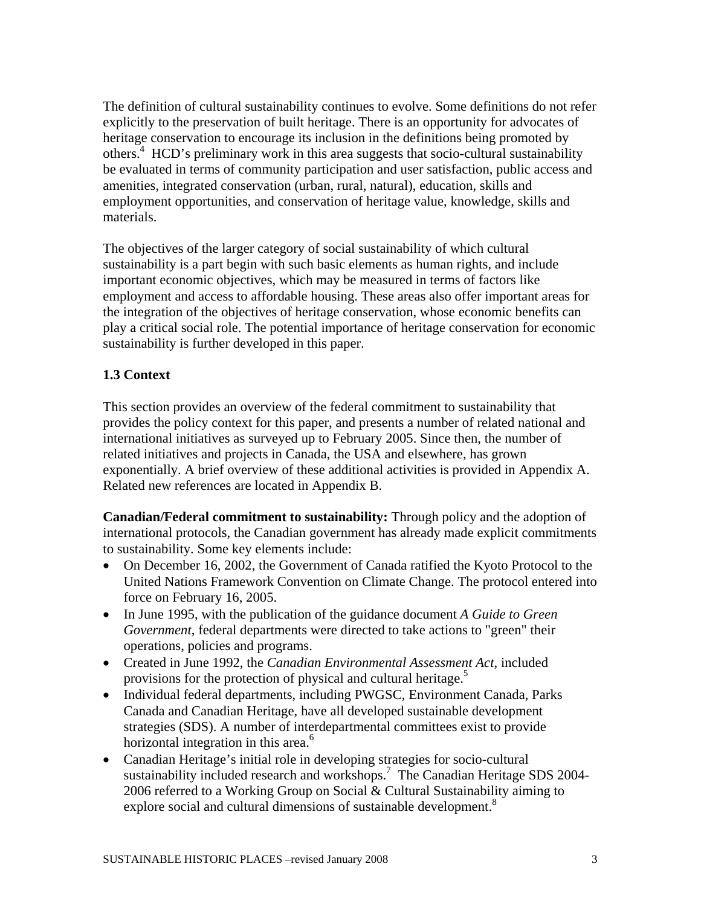The definition of cultural sustainability continues to evolve. Some definitions do not refer explicitly to the preservation of built heritage. There is an opportunity for advocates of heritage conservation to encourage its inclusion in the definitions being promoted by others.<sup>4</sup> HCD's preliminary work in this area suggests that socio-cultural sustainability be evaluated in terms of community participation and user satisfaction, public access and amenities, integrated conservation (urban, rural, natural), education, skills and employment opportunities, and conservation of heritage value, knowledge, skills and materials.

The objectives of the larger category of social sustainability of which cultural sustainability is a part begin with such basic elements as human rights, and include important economic objectives, which may be measured in terms of factors like employment and access to affordable housing. These areas also offer important areas for the integration of the objectives of heritage conservation, whose economic benefits can play a critical social role. The potential importance of heritage conservation for economic sustainability is further developed in this paper.

## **1.3 Context**

This section provides an overview of the federal commitment to sustainability that provides the policy context for this paper, and presents a number of related national and international initiatives as surveyed up to February 2005. Since then, the number of related initiatives and projects in Canada, the USA and elsewhere, has grown exponentially. A brief overview of these additional activities is provided in Appendix A. Related new references are located in Appendix B.

**Canadian/Federal commitment to sustainability:** Through policy and the adoption of international protocols, the Canadian government has already made explicit commitments to sustainability. Some key elements include:

- On December 16, 2002, the Government of Canada ratified the Kyoto Protocol to the United Nations Framework Convention on Climate Change. The protocol entered into force on February 16, 2005.
- In June 1995, with the publication of the guidance document *A Guide to Green Government*, federal departments were directed to take actions to "green" their operations, policies and programs.
- Created in June 1992, the *Canadian Environmental Assessment Act*, included provisions for the protection of physical and cultural heritage.<sup>5</sup>
- Individual federal departments, including PWGSC, Environment Canada, Parks Canada and Canadian Heritage, have all developed sustainable development strategies (SDS). A number of interdepartmental committees exist to provide horizontal integration in this area.<sup>6</sup>
- Canadian Heritage's initial role in developing strategies for socio-cultural sustainability included research and workshops.<sup>7</sup> The Canadian Heritage SDS 2004-2006 referred to a Working Group on Social & Cultural Sustainability aiming to explore social and cultural dimensions of sustainable development.<sup>8</sup>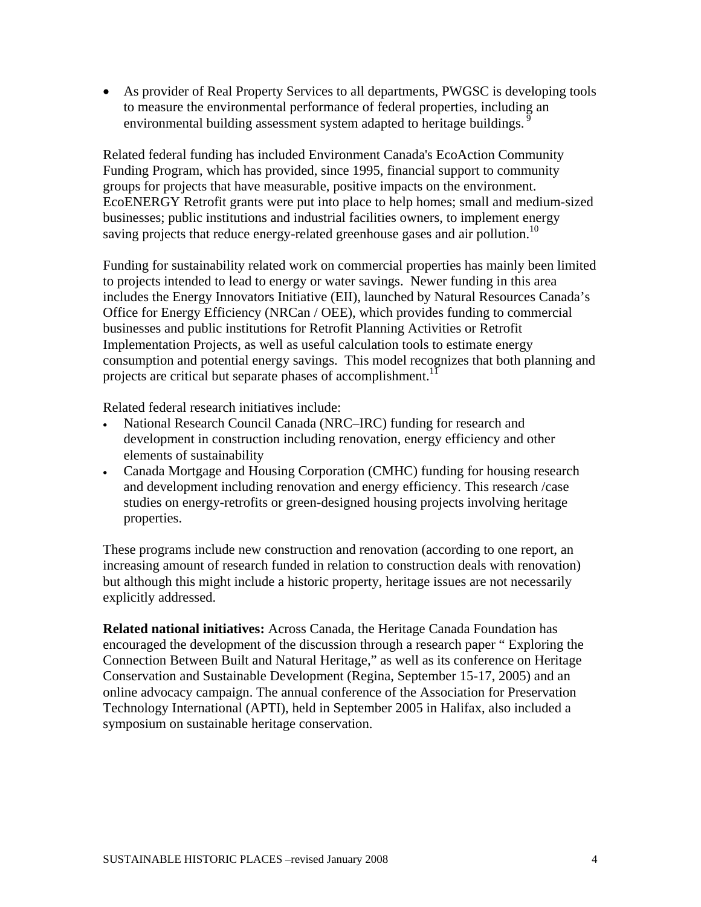• As provider of Real Property Services to all departments, PWGSC is developing tools to measure the environmental performance of federal properties, including an environmental building assessment system adapted to heritage buildings.<sup>9</sup>

Related federal funding has included Environment Canada's EcoAction Community Funding Program, which has provided, since 1995, financial support to community groups for projects that have measurable, positive impacts on the environment. EcoENERGY Retrofit grants were put into place to help homes; small and medium-sized businesses; public institutions and industrial facilities owners, to implement energy saving projects that reduce energy-related greenhouse gases and air pollution.<sup>10</sup>

Funding for sustainability related work on commercial properties has mainly been limited to projects intended to lead to energy or water savings. Newer funding in this area includes the Energy Innovators Initiative (EII), launched by Natural Resources Canada's Office for Energy Efficiency (NRCan / OEE), which provides funding to commercial businesses and public institutions for Retrofit Planning Activities or Retrofit Implementation Projects, as well as useful calculation tools to estimate energy consumption and potential energy savings. This model recognizes that both planning and projects are critical but separate phases of accomplishment.<sup>11</sup>

Related federal research initiatives include:

- National Research Council Canada (NRC–IRC) funding for research and development in construction including renovation, energy efficiency and other elements of sustainability
- Canada Mortgage and Housing Corporation (CMHC) funding for housing research and development including renovation and energy efficiency. This research /case studies on energy-retrofits or green-designed housing projects involving heritage properties.

These programs include new construction and renovation (according to one report, an increasing amount of research funded in relation to construction deals with renovation) but although this might include a historic property, heritage issues are not necessarily explicitly addressed.

**Related national initiatives:** Across Canada, the Heritage Canada Foundation has encouraged the development of the discussion through a research paper " Exploring the Connection Between Built and Natural Heritage," as well as its conference on Heritage Conservation and Sustainable Development (Regina, September 15-17, 2005) and an online advocacy campaign. The annual conference of the Association for Preservation Technology International (APTI), held in September 2005 in Halifax, also included a symposium on sustainable heritage conservation.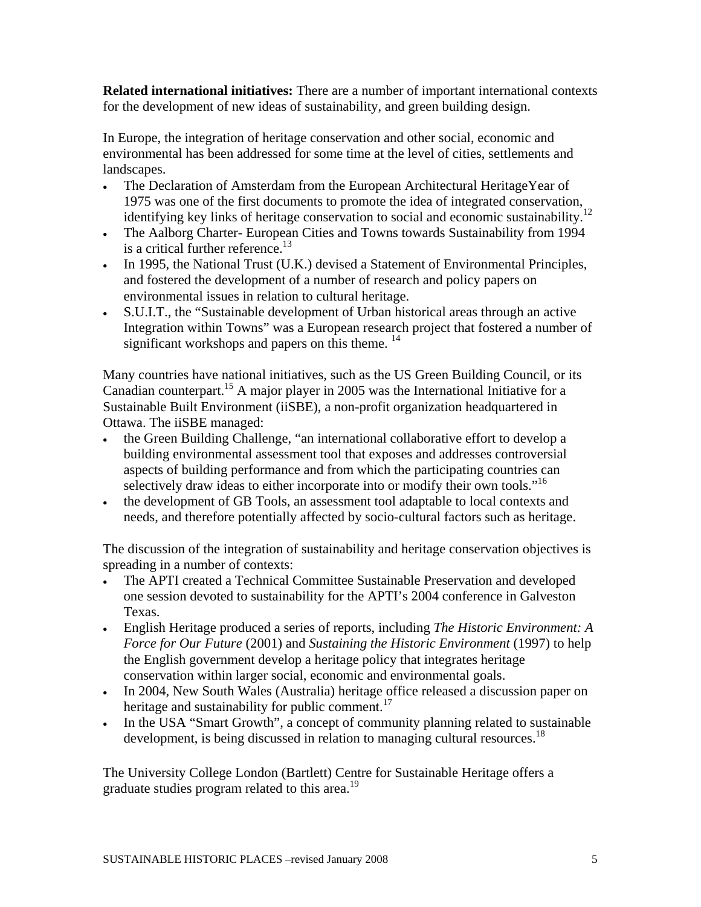**Related international initiatives:** There are a number of important international contexts for the development of new ideas of sustainability, and green building design.

In Europe, the integration of heritage conservation and other social, economic and environmental has been addressed for some time at the level of cities, settlements and landscapes.

- The Declaration of Amsterdam from the European Architectural HeritageYear of 1975 was one of the first documents to promote the idea of integrated conservation, identifying key links of heritage conservation to social and economic sustainability.<sup>12</sup>
- The Aalborg Charter- European Cities and Towns towards Sustainability from 1994 is a critical further reference.<sup>13</sup>
- In 1995, the National Trust (U.K.) devised a Statement of Environmental Principles, and fostered the development of a number of research and policy papers on environmental issues in relation to cultural heritage.
- S.U.I.T., the "Sustainable development of Urban historical areas through an active Integration within Towns" was a European research project that fostered a number of significant workshops and papers on this theme.  $14$

Many countries have national initiatives, such as the US Green Building Council, or its Canadian counterpart.<sup>15</sup> A major player in 2005 was the International Initiative for a Sustainable Built Environment (iiSBE), a non-profit organization headquartered in Ottawa. The iiSBE managed:

- the Green Building Challenge, "an international collaborative effort to develop a building environmental assessment tool that exposes and addresses controversial aspects of building performance and from which the participating countries can selectively draw ideas to either incorporate into or modify their own tools."<sup>16</sup>
- the development of GB Tools, an assessment tool adaptable to local contexts and needs, and therefore potentially affected by socio-cultural factors such as heritage.

The discussion of the integration of sustainability and heritage conservation objectives is spreading in a number of contexts:

- The APTI created a Technical Committee Sustainable Preservation and developed one session devoted to sustainability for the APTI's 2004 conference in Galveston Texas.
- English Heritage produced a series of reports, including *The Historic Environment: A Force for Our Future* (2001) and *Sustaining the Historic Environment* (1997) to help the English government develop a heritage policy that integrates heritage conservation within larger social, economic and environmental goals.
- In 2004, New South Wales (Australia) heritage office released a discussion paper on heritage and sustainability for public comment.<sup>17</sup>
- In the USA "Smart Growth", a concept of community planning related to sustainable development, is being discussed in relation to managing cultural resources.<sup>18</sup>

The University College London (Bartlett) Centre for Sustainable Heritage offers a graduate studies program related to this area.<sup>19</sup>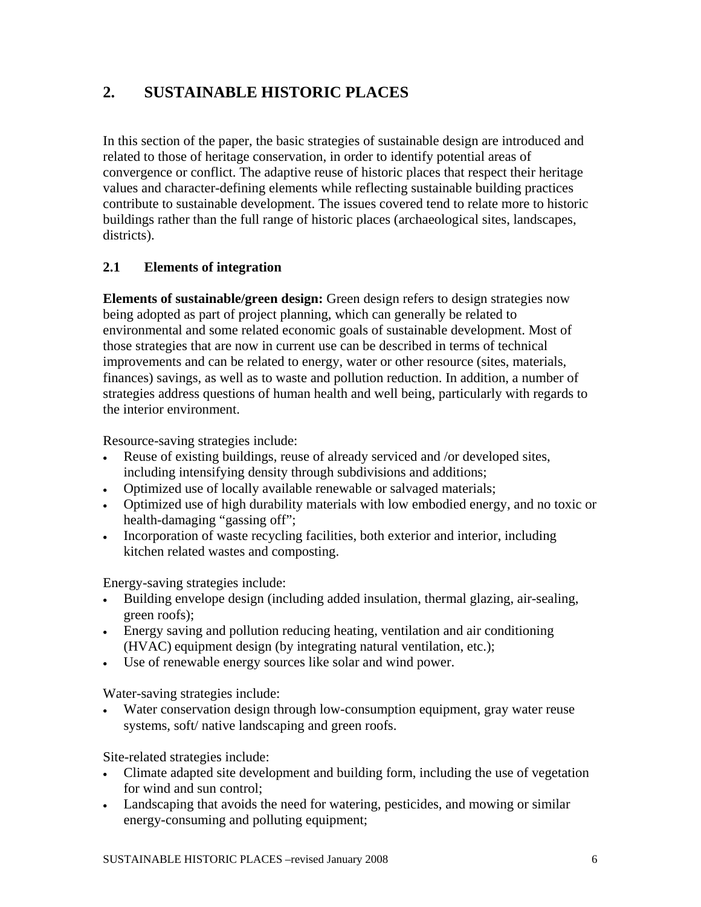# **2. SUSTAINABLE HISTORIC PLACES**

In this section of the paper, the basic strategies of sustainable design are introduced and related to those of heritage conservation, in order to identify potential areas of convergence or conflict. The adaptive reuse of historic places that respect their heritage values and character-defining elements while reflecting sustainable building practices contribute to sustainable development. The issues covered tend to relate more to historic buildings rather than the full range of historic places (archaeological sites, landscapes, districts).

## **2.1 Elements of integration**

**Elements of sustainable/green design:** Green design refers to design strategies now being adopted as part of project planning, which can generally be related to environmental and some related economic goals of sustainable development. Most of those strategies that are now in current use can be described in terms of technical improvements and can be related to energy, water or other resource (sites, materials, finances) savings, as well as to waste and pollution reduction. In addition, a number of strategies address questions of human health and well being, particularly with regards to the interior environment.

Resource-saving strategies include:

- Reuse of existing buildings, reuse of already serviced and /or developed sites, including intensifying density through subdivisions and additions;
- Optimized use of locally available renewable or salvaged materials;
- Optimized use of high durability materials with low embodied energy, and no toxic or health-damaging "gassing off";
- Incorporation of waste recycling facilities, both exterior and interior, including kitchen related wastes and composting.

Energy-saving strategies include:

- Building envelope design (including added insulation, thermal glazing, air-sealing, green roofs);
- Energy saving and pollution reducing heating, ventilation and air conditioning (HVAC) equipment design (by integrating natural ventilation, etc.);
- Use of renewable energy sources like solar and wind power.

Water-saving strategies include:

• Water conservation design through low-consumption equipment, gray water reuse systems, soft/ native landscaping and green roofs.

Site-related strategies include:

- Climate adapted site development and building form, including the use of vegetation for wind and sun control;
- Landscaping that avoids the need for watering, pesticides, and mowing or similar energy-consuming and polluting equipment;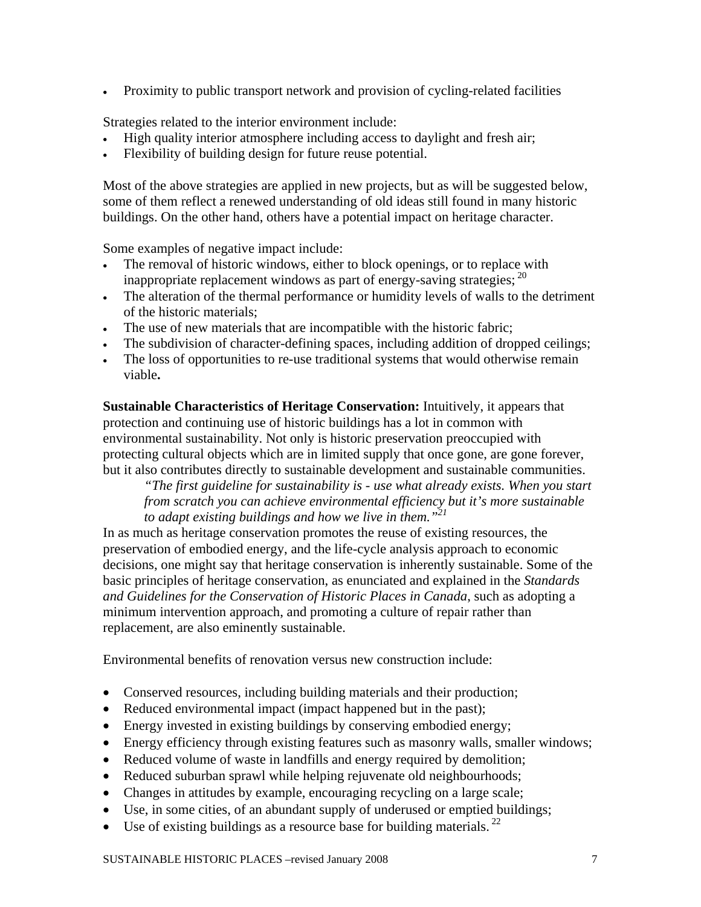• Proximity to public transport network and provision of cycling-related facilities

Strategies related to the interior environment include:

- High quality interior atmosphere including access to daylight and fresh air;
- Flexibility of building design for future reuse potential.

Most of the above strategies are applied in new projects, but as will be suggested below, some of them reflect a renewed understanding of old ideas still found in many historic buildings. On the other hand, others have a potential impact on heritage character.

Some examples of negative impact include:

- The removal of historic windows, either to block openings, or to replace with inappropriate replacement windows as part of energy-saving strategies;  $^{20}$
- The alteration of the thermal performance or humidity levels of walls to the detriment of the historic materials;
- The use of new materials that are incompatible with the historic fabric;
- The subdivision of character-defining spaces, including addition of dropped ceilings;
- The loss of opportunities to re-use traditional systems that would otherwise remain viable**.**

**Sustainable Characteristics of Heritage Conservation:** Intuitively, it appears that protection and continuing use of historic buildings has a lot in common with environmental sustainability. Not only is historic preservation preoccupied with protecting cultural objects which are in limited supply that once gone, are gone forever, but it also contributes directly to sustainable development and sustainable communities.

*"The first guideline for sustainability is - use what already exists. When you start from scratch you can achieve environmental efficiency but it's more sustainable to adapt existing buildings and how we live in them."21*

In as much as heritage conservation promotes the reuse of existing resources, the preservation of embodied energy, and the life-cycle analysis approach to economic decisions, one might say that heritage conservation is inherently sustainable. Some of the basic principles of heritage conservation, as enunciated and explained in the *Standards and Guidelines for the Conservation of Historic Places in Canada*, such as adopting a minimum intervention approach, and promoting a culture of repair rather than replacement, are also eminently sustainable.

Environmental benefits of renovation versus new construction include:

- Conserved resources, including building materials and their production;
- Reduced environmental impact (impact happened but in the past);
- Energy invested in existing buildings by conserving embodied energy;
- Energy efficiency through existing features such as masonry walls, smaller windows;
- Reduced volume of waste in landfills and energy required by demolition;
- Reduced suburban sprawl while helping rejuvenate old neighbourhoods;
- Changes in attitudes by example, encouraging recycling on a large scale;
- Use, in some cities, of an abundant supply of underused or emptied buildings;
- Use of existing buildings as a resource base for building materials.  $^{22}$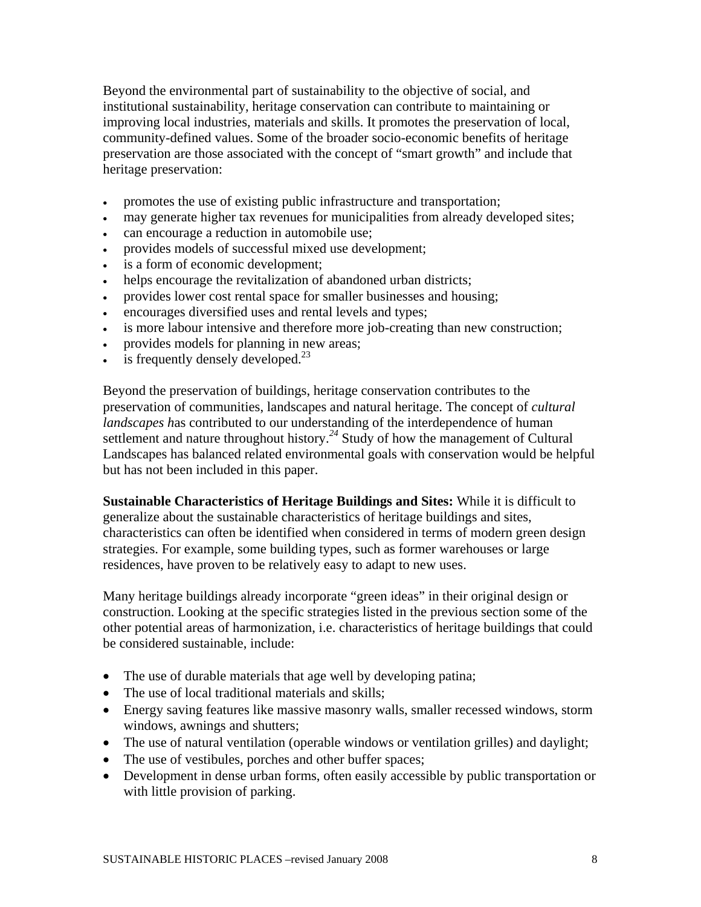Beyond the environmental part of sustainability to the objective of social, and institutional sustainability, heritage conservation can contribute to maintaining or improving local industries, materials and skills. It promotes the preservation of local, community-defined values. Some of the broader socio-economic benefits of heritage preservation are those associated with the concept of "smart growth" and include that heritage preservation:

- promotes the use of existing public infrastructure and transportation;
- may generate higher tax revenues for municipalities from already developed sites;
- can encourage a reduction in automobile use;
- provides models of successful mixed use development;
- is a form of economic development;
- helps encourage the revitalization of abandoned urban districts;
- provides lower cost rental space for smaller businesses and housing;
- encourages diversified uses and rental levels and types;
- is more labour intensive and therefore more job-creating than new construction;
- provides models for planning in new areas;
- is frequently densely developed. $^{23}$

Beyond the preservation of buildings, heritage conservation contributes to the preservation of communities, landscapes and natural heritage. The concept of *cultural landscapes h*as contributed to our understanding of the interdependence of human settlement and nature throughout history.<sup>24</sup> Study of how the management of Cultural Landscapes has balanced related environmental goals with conservation would be helpful but has not been included in this paper.

**Sustainable Characteristics of Heritage Buildings and Sites:** While it is difficult to generalize about the sustainable characteristics of heritage buildings and sites, characteristics can often be identified when considered in terms of modern green design strategies. For example, some building types, such as former warehouses or large residences, have proven to be relatively easy to adapt to new uses.

Many heritage buildings already incorporate "green ideas" in their original design or construction. Looking at the specific strategies listed in the previous section some of the other potential areas of harmonization, i.e. characteristics of heritage buildings that could be considered sustainable, include:

- The use of durable materials that age well by developing patina;
- The use of local traditional materials and skills;
- Energy saving features like massive masonry walls, smaller recessed windows, storm windows, awnings and shutters;
- The use of natural ventilation (operable windows or ventilation grilles) and daylight;
- The use of vestibules, porches and other buffer spaces;
- Development in dense urban forms, often easily accessible by public transportation or with little provision of parking.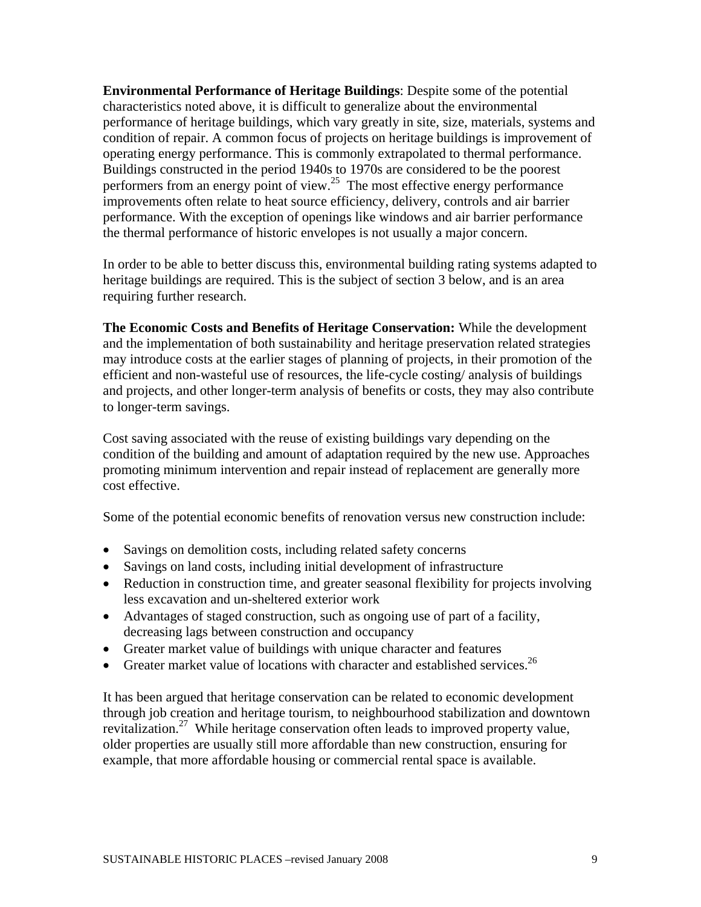**Environmental Performance of Heritage Buildings**: Despite some of the potential characteristics noted above, it is difficult to generalize about the environmental performance of heritage buildings, which vary greatly in site, size, materials, systems and condition of repair. A common focus of projects on heritage buildings is improvement of operating energy performance. This is commonly extrapolated to thermal performance. Buildings constructed in the period 1940s to 1970s are considered to be the poorest performers from an energy point of view.<sup>25</sup> The most effective energy performance improvements often relate to heat source efficiency, delivery, controls and air barrier performance. With the exception of openings like windows and air barrier performance the thermal performance of historic envelopes is not usually a major concern.

In order to be able to better discuss this, environmental building rating systems adapted to heritage buildings are required. This is the subject of section 3 below, and is an area requiring further research.

**The Economic Costs and Benefits of Heritage Conservation:** While the development and the implementation of both sustainability and heritage preservation related strategies may introduce costs at the earlier stages of planning of projects, in their promotion of the efficient and non-wasteful use of resources, the life-cycle costing/ analysis of buildings and projects, and other longer-term analysis of benefits or costs, they may also contribute to longer-term savings.

Cost saving associated with the reuse of existing buildings vary depending on the condition of the building and amount of adaptation required by the new use. Approaches promoting minimum intervention and repair instead of replacement are generally more cost effective.

Some of the potential economic benefits of renovation versus new construction include:

- Savings on demolition costs, including related safety concerns
- Savings on land costs, including initial development of infrastructure
- Reduction in construction time, and greater seasonal flexibility for projects involving less excavation and un-sheltered exterior work
- Advantages of staged construction, such as ongoing use of part of a facility, decreasing lags between construction and occupancy
- Greater market value of buildings with unique character and features
- Greater market value of locations with character and established services.<sup>26</sup>

It has been argued that heritage conservation can be related to economic development through job creation and heritage tourism, to neighbourhood stabilization and downtown revitalization.27 While heritage conservation often leads to improved property value, older properties are usually still more affordable than new construction, ensuring for example, that more affordable housing or commercial rental space is available.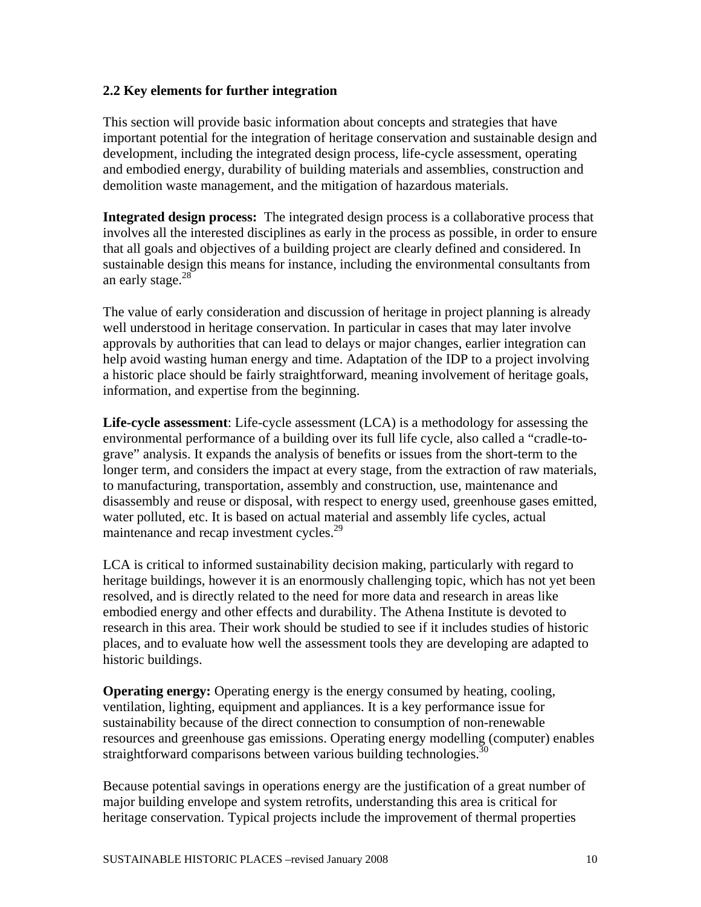## **2.2 Key elements for further integration**

This section will provide basic information about concepts and strategies that have important potential for the integration of heritage conservation and sustainable design and development, including the integrated design process, life-cycle assessment, operating and embodied energy, durability of building materials and assemblies, construction and demolition waste management, and the mitigation of hazardous materials.

**Integrated design process:** The integrated design process is a collaborative process that involves all the interested disciplines as early in the process as possible, in order to ensure that all goals and objectives of a building project are clearly defined and considered. In sustainable design this means for instance, including the environmental consultants from an early stage. $28$ <sup>-28</sup>

The value of early consideration and discussion of heritage in project planning is already well understood in heritage conservation. In particular in cases that may later involve approvals by authorities that can lead to delays or major changes, earlier integration can help avoid wasting human energy and time. Adaptation of the IDP to a project involving a historic place should be fairly straightforward, meaning involvement of heritage goals, information, and expertise from the beginning.

**Life-cycle assessment**: Life-cycle assessment (LCA) is a methodology for assessing the environmental performance of a building over its full life cycle, also called a "cradle-tograve" analysis. It expands the analysis of benefits or issues from the short-term to the longer term, and considers the impact at every stage, from the extraction of raw materials, to manufacturing, transportation, assembly and construction, use, maintenance and disassembly and reuse or disposal, with respect to energy used, greenhouse gases emitted, water polluted, etc. It is based on actual material and assembly life cycles, actual maintenance and recap investment cycles.<sup>29</sup>

LCA is critical to informed sustainability decision making, particularly with regard to heritage buildings, however it is an enormously challenging topic, which has not yet been resolved, and is directly related to the need for more data and research in areas like embodied energy and other effects and durability. The Athena Institute is devoted to research in this area. Their work should be studied to see if it includes studies of historic places, and to evaluate how well the assessment tools they are developing are adapted to historic buildings.

**Operating energy:** Operating energy is the energy consumed by heating, cooling, ventilation, lighting, equipment and appliances. It is a key performance issue for sustainability because of the direct connection to consumption of non-renewable resources and greenhouse gas emissions. Operating energy modelling (computer) enables straightforward comparisons between various building technologies.<sup>30</sup>

Because potential savings in operations energy are the justification of a great number of major building envelope and system retrofits, understanding this area is critical for heritage conservation. Typical projects include the improvement of thermal properties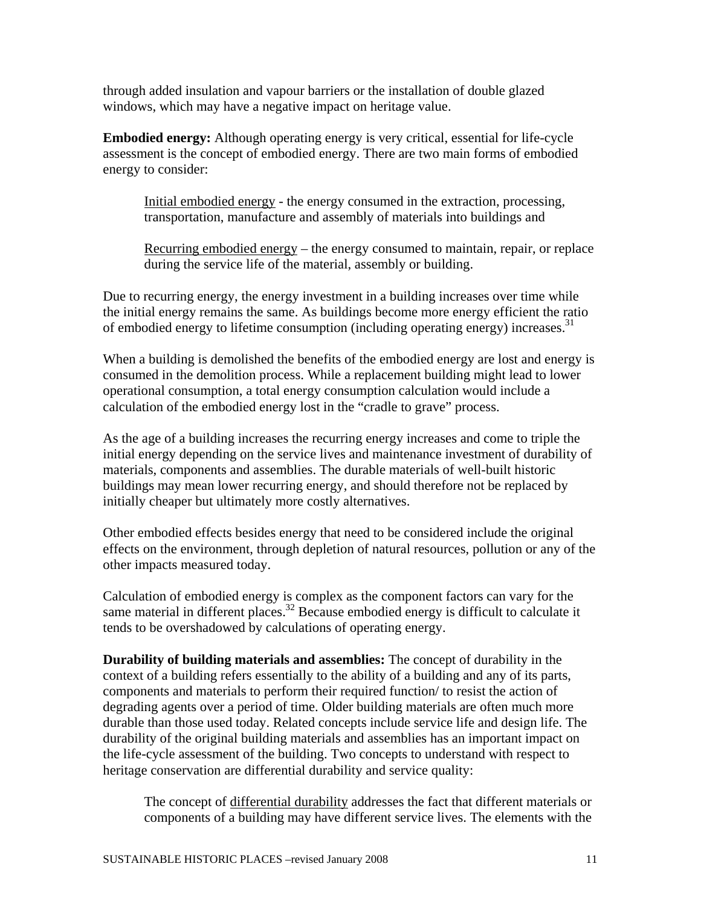through added insulation and vapour barriers or the installation of double glazed windows, which may have a negative impact on heritage value.

**Embodied energy:** Although operating energy is very critical, essential for life-cycle assessment is the concept of embodied energy. There are two main forms of embodied energy to consider:

Initial embodied energy - the energy consumed in the extraction, processing, transportation, manufacture and assembly of materials into buildings and

Recurring embodied energy – the energy consumed to maintain, repair, or replace during the service life of the material, assembly or building.

Due to recurring energy, the energy investment in a building increases over time while the initial energy remains the same. As buildings become more energy efficient the ratio of embodied energy to lifetime consumption (including operating energy) increases.<sup>31</sup>

When a building is demolished the benefits of the embodied energy are lost and energy is consumed in the demolition process. While a replacement building might lead to lower operational consumption, a total energy consumption calculation would include a calculation of the embodied energy lost in the "cradle to grave" process.

As the age of a building increases the recurring energy increases and come to triple the initial energy depending on the service lives and maintenance investment of durability of materials, components and assemblies. The durable materials of well-built historic buildings may mean lower recurring energy, and should therefore not be replaced by initially cheaper but ultimately more costly alternatives.

Other embodied effects besides energy that need to be considered include the original effects on the environment, through depletion of natural resources, pollution or any of the other impacts measured today.

Calculation of embodied energy is complex as the component factors can vary for the same material in different places.<sup>32</sup> Because embodied energy is difficult to calculate it tends to be overshadowed by calculations of operating energy.

**Durability of building materials and assemblies:** The concept of durability in the context of a building refers essentially to the ability of a building and any of its parts, components and materials to perform their required function/ to resist the action of degrading agents over a period of time. Older building materials are often much more durable than those used today. Related concepts include service life and design life. The durability of the original building materials and assemblies has an important impact on the life-cycle assessment of the building. Two concepts to understand with respect to heritage conservation are differential durability and service quality:

The concept of differential durability addresses the fact that different materials or components of a building may have different service lives. The elements with the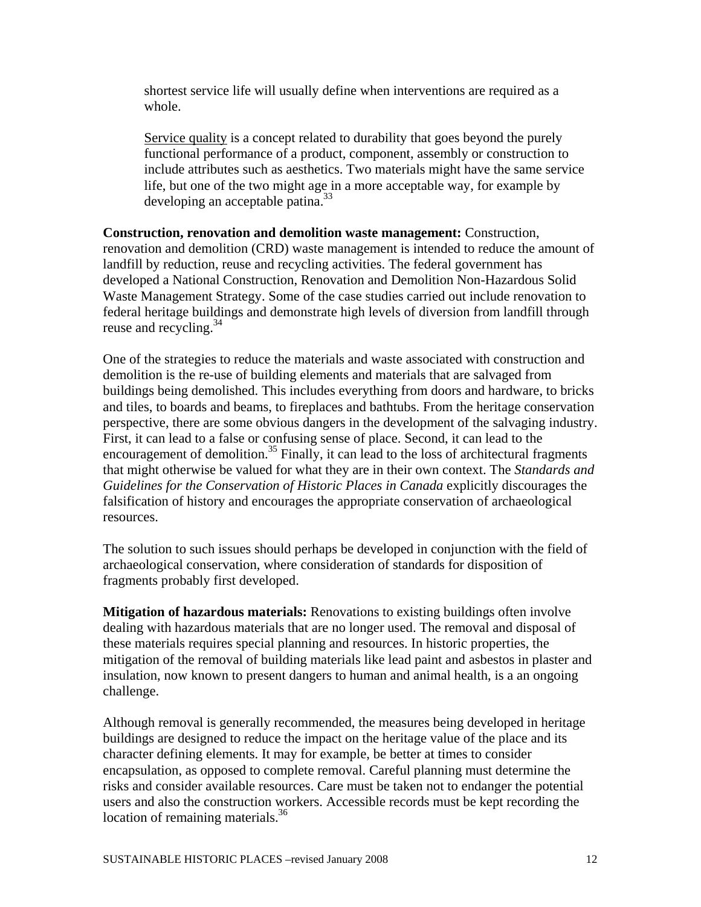shortest service life will usually define when interventions are required as a whole.

Service quality is a concept related to durability that goes beyond the purely functional performance of a product, component, assembly or construction to include attributes such as aesthetics. Two materials might have the same service life, but one of the two might age in a more acceptable way, for example by developing an acceptable patina.<sup>33</sup>

**Construction, renovation and demolition waste management:** Construction, renovation and demolition (CRD) waste management is intended to reduce the amount of landfill by reduction, reuse and recycling activities. The federal government has developed a National Construction, Renovation and Demolition Non-Hazardous Solid Waste Management Strategy. Some of the case studies carried out include renovation to federal heritage buildings and demonstrate high levels of diversion from landfill through reuse and recycling.<sup>34</sup>

One of the strategies to reduce the materials and waste associated with construction and demolition is the re-use of building elements and materials that are salvaged from buildings being demolished. This includes everything from doors and hardware, to bricks and tiles, to boards and beams, to fireplaces and bathtubs. From the heritage conservation perspective, there are some obvious dangers in the development of the salvaging industry. First, it can lead to a false or confusing sense of place. Second, it can lead to the encouragement of demolition.<sup>35</sup> Finally, it can lead to the loss of architectural fragments that might otherwise be valued for what they are in their own context. The *Standards and Guidelines for the Conservation of Historic Places in Canada* explicitly discourages the falsification of history and encourages the appropriate conservation of archaeological resources.

The solution to such issues should perhaps be developed in conjunction with the field of archaeological conservation, where consideration of standards for disposition of fragments probably first developed.

**Mitigation of hazardous materials:** Renovations to existing buildings often involve dealing with hazardous materials that are no longer used. The removal and disposal of these materials requires special planning and resources. In historic properties, the mitigation of the removal of building materials like lead paint and asbestos in plaster and insulation, now known to present dangers to human and animal health, is a an ongoing challenge.

Although removal is generally recommended, the measures being developed in heritage buildings are designed to reduce the impact on the heritage value of the place and its character defining elements. It may for example, be better at times to consider encapsulation, as opposed to complete removal. Careful planning must determine the risks and consider available resources. Care must be taken not to endanger the potential users and also the construction workers. Accessible records must be kept recording the location of remaining materials.<sup>36</sup>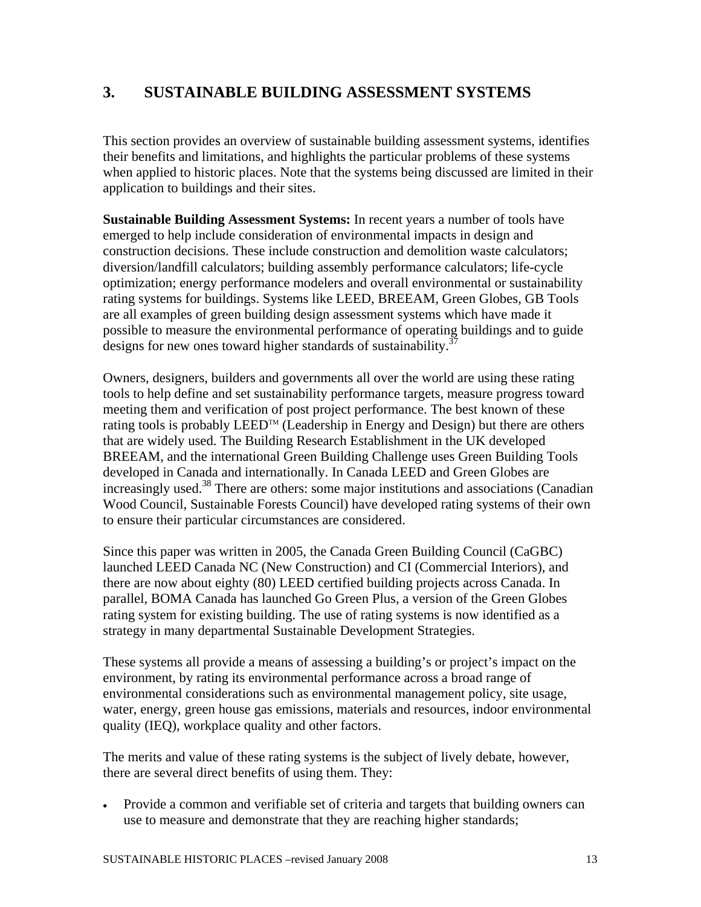# **3. SUSTAINABLE BUILDING ASSESSMENT SYSTEMS**

This section provides an overview of sustainable building assessment systems, identifies their benefits and limitations, and highlights the particular problems of these systems when applied to historic places. Note that the systems being discussed are limited in their application to buildings and their sites.

**Sustainable Building Assessment Systems:** In recent years a number of tools have emerged to help include consideration of environmental impacts in design and construction decisions. These include construction and demolition waste calculators; diversion/landfill calculators; building assembly performance calculators; life-cycle optimization; energy performance modelers and overall environmental or sustainability rating systems for buildings. Systems like LEED, BREEAM, Green Globes, GB Tools are all examples of green building design assessment systems which have made it possible to measure the environmental performance of operating buildings and to guide designs for new ones toward higher standards of sustainability.<sup>37</sup>

Owners, designers, builders and governments all over the world are using these rating tools to help define and set sustainability performance targets, measure progress toward meeting them and verification of post project performance. The best known of these rating tools is probably LEED<sup>TM</sup> (Leadership in Energy and Design) but there are others that are widely used. The Building Research Establishment in the UK developed BREEAM, and the international Green Building Challenge uses Green Building Tools developed in Canada and internationally. In Canada LEED and Green Globes are increasingly used.<sup>38</sup> There are others: some major institutions and associations (Canadian Wood Council, Sustainable Forests Council) have developed rating systems of their own to ensure their particular circumstances are considered.

Since this paper was written in 2005, the Canada Green Building Council (CaGBC) launched LEED Canada NC (New Construction) and CI (Commercial Interiors), and there are now about eighty (80) LEED certified building projects across Canada. In parallel, BOMA Canada has launched Go Green Plus, a version of the Green Globes rating system for existing building. The use of rating systems is now identified as a strategy in many departmental Sustainable Development Strategies.

These systems all provide a means of assessing a building's or project's impact on the environment, by rating its environmental performance across a broad range of environmental considerations such as environmental management policy, site usage, water, energy, green house gas emissions, materials and resources, indoor environmental quality (IEQ), workplace quality and other factors.

The merits and value of these rating systems is the subject of lively debate, however, there are several direct benefits of using them. They:

• Provide a common and verifiable set of criteria and targets that building owners can use to measure and demonstrate that they are reaching higher standards;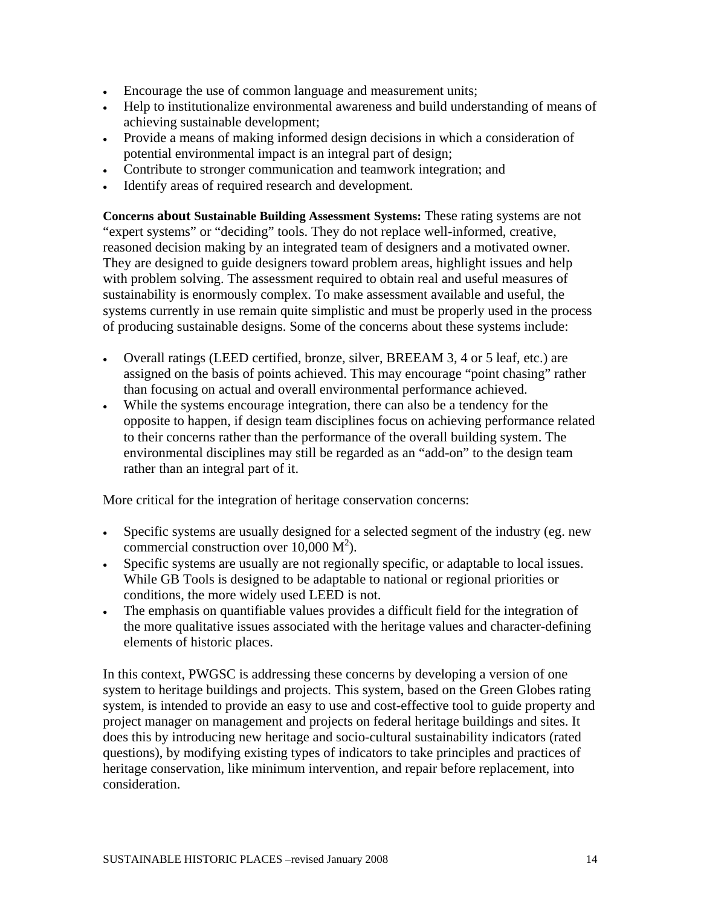- Encourage the use of common language and measurement units;
- Help to institutionalize environmental awareness and build understanding of means of achieving sustainable development;
- Provide a means of making informed design decisions in which a consideration of potential environmental impact is an integral part of design;
- Contribute to stronger communication and teamwork integration; and
- Identify areas of required research and development.

**Concerns about Sustainable Building Assessment Systems:** These rating systems are not "expert systems" or "deciding" tools. They do not replace well-informed, creative, reasoned decision making by an integrated team of designers and a motivated owner. They are designed to guide designers toward problem areas, highlight issues and help with problem solving. The assessment required to obtain real and useful measures of sustainability is enormously complex. To make assessment available and useful, the systems currently in use remain quite simplistic and must be properly used in the process of producing sustainable designs. Some of the concerns about these systems include:

- Overall ratings (LEED certified, bronze, silver, BREEAM 3, 4 or 5 leaf, etc.) are assigned on the basis of points achieved. This may encourage "point chasing" rather than focusing on actual and overall environmental performance achieved.
- While the systems encourage integration, there can also be a tendency for the opposite to happen, if design team disciplines focus on achieving performance related to their concerns rather than the performance of the overall building system. The environmental disciplines may still be regarded as an "add-on" to the design team rather than an integral part of it.

More critical for the integration of heritage conservation concerns:

- Specific systems are usually designed for a selected segment of the industry (eg. new commercial construction over  $10,000 \text{ M}^2$ ).
- Specific systems are usually are not regionally specific, or adaptable to local issues. While GB Tools is designed to be adaptable to national or regional priorities or conditions, the more widely used LEED is not.
- The emphasis on quantifiable values provides a difficult field for the integration of the more qualitative issues associated with the heritage values and character-defining elements of historic places.

In this context, PWGSC is addressing these concerns by developing a version of one system to heritage buildings and projects. This system, based on the Green Globes rating system, is intended to provide an easy to use and cost-effective tool to guide property and project manager on management and projects on federal heritage buildings and sites. It does this by introducing new heritage and socio-cultural sustainability indicators (rated questions), by modifying existing types of indicators to take principles and practices of heritage conservation, like minimum intervention, and repair before replacement, into consideration.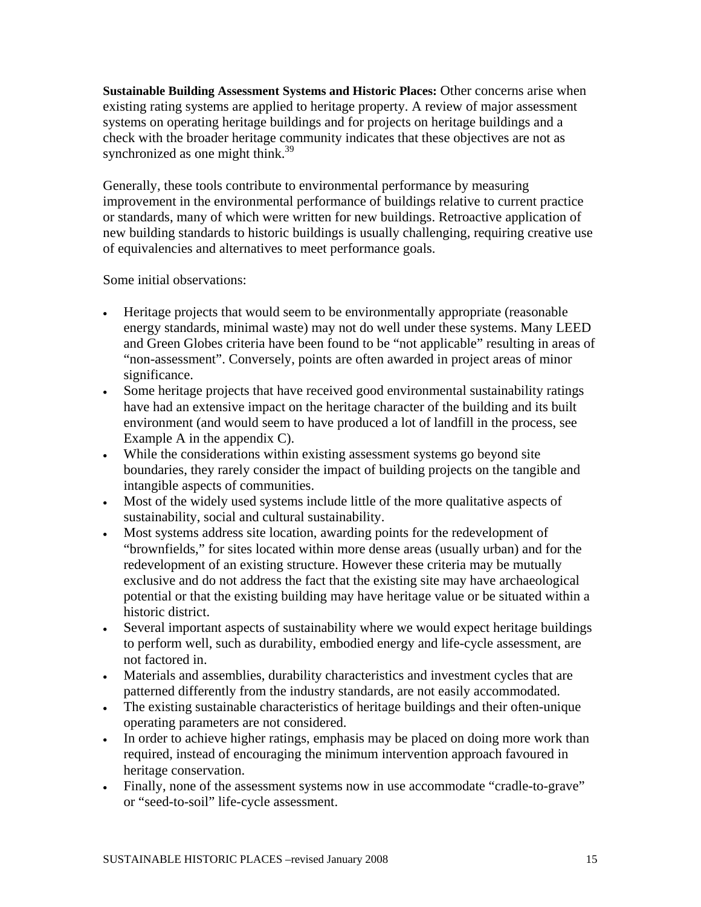**Sustainable Building Assessment Systems and Historic Places:** Other concerns arise when existing rating systems are applied to heritage property. A review of major assessment systems on operating heritage buildings and for projects on heritage buildings and a check with the broader heritage community indicates that these objectives are not as synchronized as one might think.<sup>39</sup>

Generally, these tools contribute to environmental performance by measuring improvement in the environmental performance of buildings relative to current practice or standards, many of which were written for new buildings. Retroactive application of new building standards to historic buildings is usually challenging, requiring creative use of equivalencies and alternatives to meet performance goals.

Some initial observations:

- Heritage projects that would seem to be environmentally appropriate (reasonable energy standards, minimal waste) may not do well under these systems. Many LEED and Green Globes criteria have been found to be "not applicable" resulting in areas of "non-assessment". Conversely, points are often awarded in project areas of minor significance.
- Some heritage projects that have received good environmental sustainability ratings have had an extensive impact on the heritage character of the building and its built environment (and would seem to have produced a lot of landfill in the process, see Example A in the appendix C).
- While the considerations within existing assessment systems go beyond site boundaries, they rarely consider the impact of building projects on the tangible and intangible aspects of communities.
- Most of the widely used systems include little of the more qualitative aspects of sustainability, social and cultural sustainability.
- Most systems address site location, awarding points for the redevelopment of "brownfields," for sites located within more dense areas (usually urban) and for the redevelopment of an existing structure. However these criteria may be mutually exclusive and do not address the fact that the existing site may have archaeological potential or that the existing building may have heritage value or be situated within a historic district.
- Several important aspects of sustainability where we would expect heritage buildings to perform well, such as durability, embodied energy and life-cycle assessment, are not factored in.
- Materials and assemblies, durability characteristics and investment cycles that are patterned differently from the industry standards, are not easily accommodated.
- The existing sustainable characteristics of heritage buildings and their often-unique operating parameters are not considered.
- In order to achieve higher ratings, emphasis may be placed on doing more work than required, instead of encouraging the minimum intervention approach favoured in heritage conservation.
- Finally, none of the assessment systems now in use accommodate "cradle-to-grave" or "seed-to-soil" life-cycle assessment.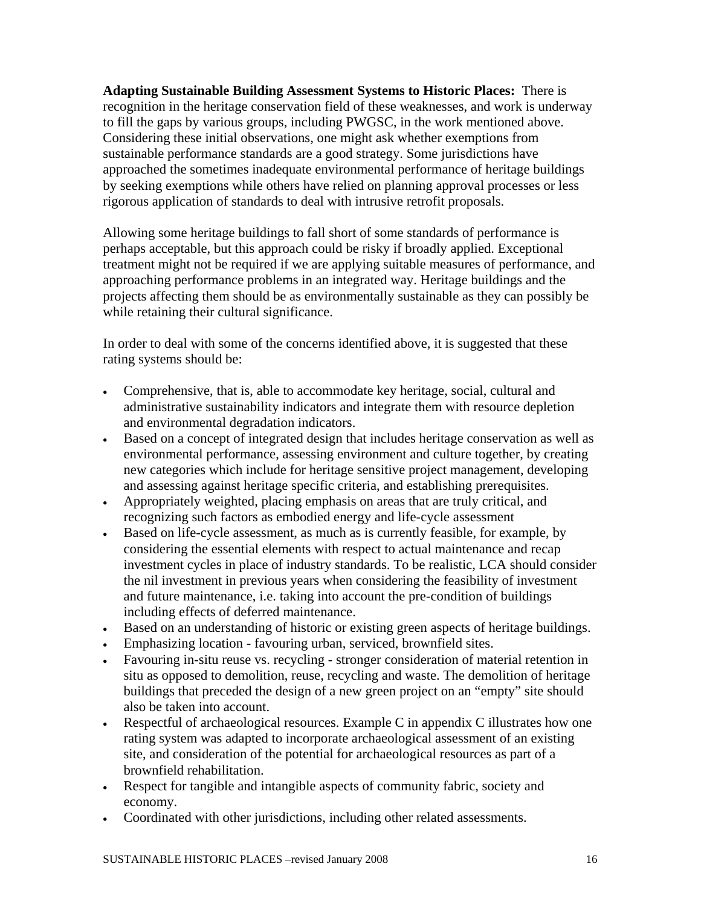**Adapting Sustainable Building Assessment Systems to Historic Places:** There is recognition in the heritage conservation field of these weaknesses, and work is underway to fill the gaps by various groups, including PWGSC, in the work mentioned above. Considering these initial observations, one might ask whether exemptions from sustainable performance standards are a good strategy. Some jurisdictions have approached the sometimes inadequate environmental performance of heritage buildings by seeking exemptions while others have relied on planning approval processes or less rigorous application of standards to deal with intrusive retrofit proposals.

Allowing some heritage buildings to fall short of some standards of performance is perhaps acceptable, but this approach could be risky if broadly applied. Exceptional treatment might not be required if we are applying suitable measures of performance, and approaching performance problems in an integrated way. Heritage buildings and the projects affecting them should be as environmentally sustainable as they can possibly be while retaining their cultural significance.

In order to deal with some of the concerns identified above, it is suggested that these rating systems should be:

- Comprehensive, that is, able to accommodate key heritage, social, cultural and administrative sustainability indicators and integrate them with resource depletion and environmental degradation indicators.
- Based on a concept of integrated design that includes heritage conservation as well as environmental performance, assessing environment and culture together, by creating new categories which include for heritage sensitive project management, developing and assessing against heritage specific criteria, and establishing prerequisites.
- Appropriately weighted, placing emphasis on areas that are truly critical, and recognizing such factors as embodied energy and life-cycle assessment
- Based on life-cycle assessment, as much as is currently feasible, for example, by considering the essential elements with respect to actual maintenance and recap investment cycles in place of industry standards. To be realistic, LCA should consider the nil investment in previous years when considering the feasibility of investment and future maintenance, i.e. taking into account the pre-condition of buildings including effects of deferred maintenance.
- Based on an understanding of historic or existing green aspects of heritage buildings.
- Emphasizing location favouring urban, serviced, brownfield sites.
- Favouring in-situ reuse vs. recycling stronger consideration of material retention in situ as opposed to demolition, reuse, recycling and waste. The demolition of heritage buildings that preceded the design of a new green project on an "empty" site should also be taken into account.
- Respectful of archaeological resources. Example C in appendix C illustrates how one rating system was adapted to incorporate archaeological assessment of an existing site, and consideration of the potential for archaeological resources as part of a brownfield rehabilitation.
- Respect for tangible and intangible aspects of community fabric, society and economy.
- Coordinated with other jurisdictions, including other related assessments.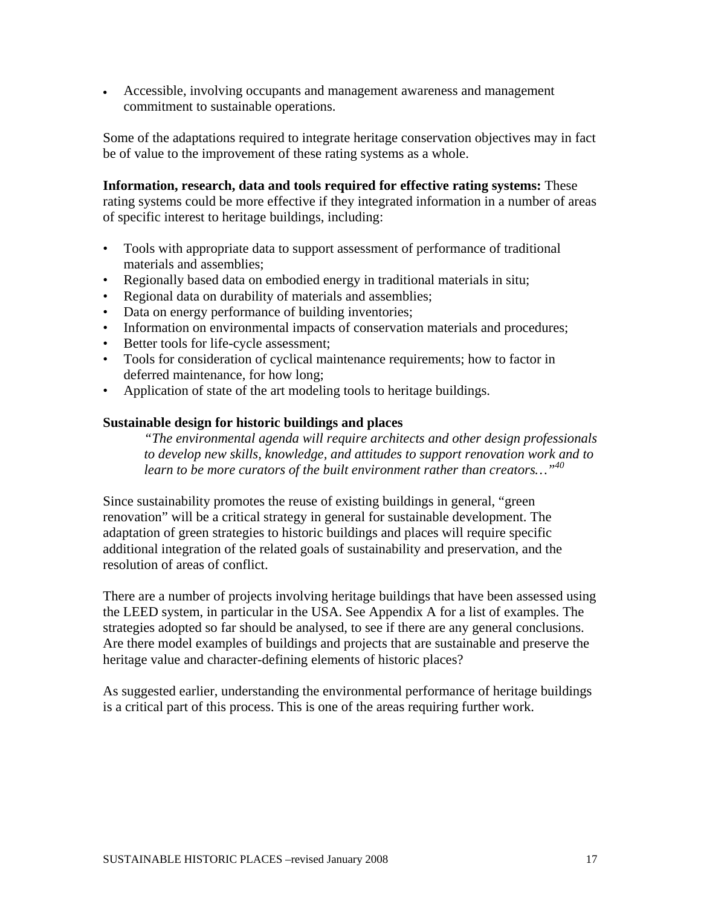• Accessible, involving occupants and management awareness and management commitment to sustainable operations.

Some of the adaptations required to integrate heritage conservation objectives may in fact be of value to the improvement of these rating systems as a whole.

**Information, research, data and tools required for effective rating systems:** These rating systems could be more effective if they integrated information in a number of areas of specific interest to heritage buildings, including:

- Tools with appropriate data to support assessment of performance of traditional materials and assemblies;
- Regionally based data on embodied energy in traditional materials in situ;
- Regional data on durability of materials and assemblies;
- Data on energy performance of building inventories;
- Information on environmental impacts of conservation materials and procedures;
- Better tools for life-cycle assessment;
- Tools for consideration of cyclical maintenance requirements; how to factor in deferred maintenance, for how long;
- Application of state of the art modeling tools to heritage buildings.

## **Sustainable design for historic buildings and places**

*"The environmental agenda will require architects and other design professionals to develop new skills, knowledge, and attitudes to support renovation work and to learn to be more curators of the built environment rather than creators…"40*

Since sustainability promotes the reuse of existing buildings in general, "green renovation" will be a critical strategy in general for sustainable development. The adaptation of green strategies to historic buildings and places will require specific additional integration of the related goals of sustainability and preservation, and the resolution of areas of conflict.

There are a number of projects involving heritage buildings that have been assessed using the LEED system, in particular in the USA. See Appendix A for a list of examples. The strategies adopted so far should be analysed, to see if there are any general conclusions. Are there model examples of buildings and projects that are sustainable and preserve the heritage value and character-defining elements of historic places?

As suggested earlier, understanding the environmental performance of heritage buildings is a critical part of this process. This is one of the areas requiring further work.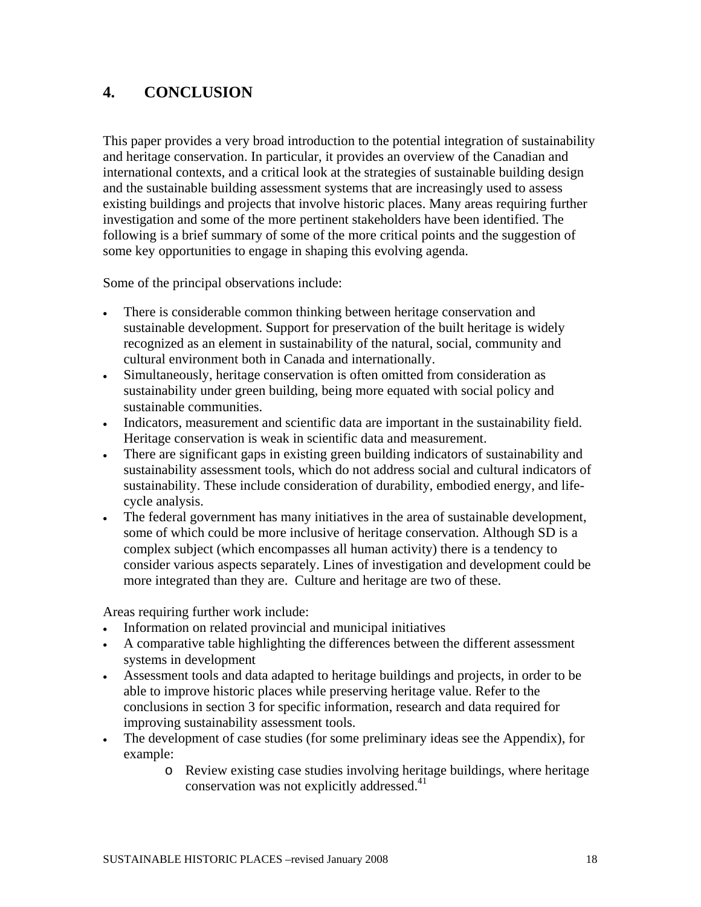# **4. CONCLUSION**

This paper provides a very broad introduction to the potential integration of sustainability and heritage conservation. In particular, it provides an overview of the Canadian and international contexts, and a critical look at the strategies of sustainable building design and the sustainable building assessment systems that are increasingly used to assess existing buildings and projects that involve historic places. Many areas requiring further investigation and some of the more pertinent stakeholders have been identified. The following is a brief summary of some of the more critical points and the suggestion of some key opportunities to engage in shaping this evolving agenda.

Some of the principal observations include:

- There is considerable common thinking between heritage conservation and sustainable development. Support for preservation of the built heritage is widely recognized as an element in sustainability of the natural, social, community and cultural environment both in Canada and internationally.
- Simultaneously, heritage conservation is often omitted from consideration as sustainability under green building, being more equated with social policy and sustainable communities.
- Indicators, measurement and scientific data are important in the sustainability field. Heritage conservation is weak in scientific data and measurement.
- There are significant gaps in existing green building indicators of sustainability and sustainability assessment tools, which do not address social and cultural indicators of sustainability. These include consideration of durability, embodied energy, and lifecycle analysis.
- The federal government has many initiatives in the area of sustainable development, some of which could be more inclusive of heritage conservation. Although SD is a complex subject (which encompasses all human activity) there is a tendency to consider various aspects separately. Lines of investigation and development could be more integrated than they are. Culture and heritage are two of these.

Areas requiring further work include:

- Information on related provincial and municipal initiatives
- A comparative table highlighting the differences between the different assessment systems in development
- Assessment tools and data adapted to heritage buildings and projects, in order to be able to improve historic places while preserving heritage value. Refer to the conclusions in section 3 for specific information, research and data required for improving sustainability assessment tools.
- The development of case studies (for some preliminary ideas see the Appendix), for example:
	- o Review existing case studies involving heritage buildings, where heritage conservation was not explicitly addressed.<sup>41</sup>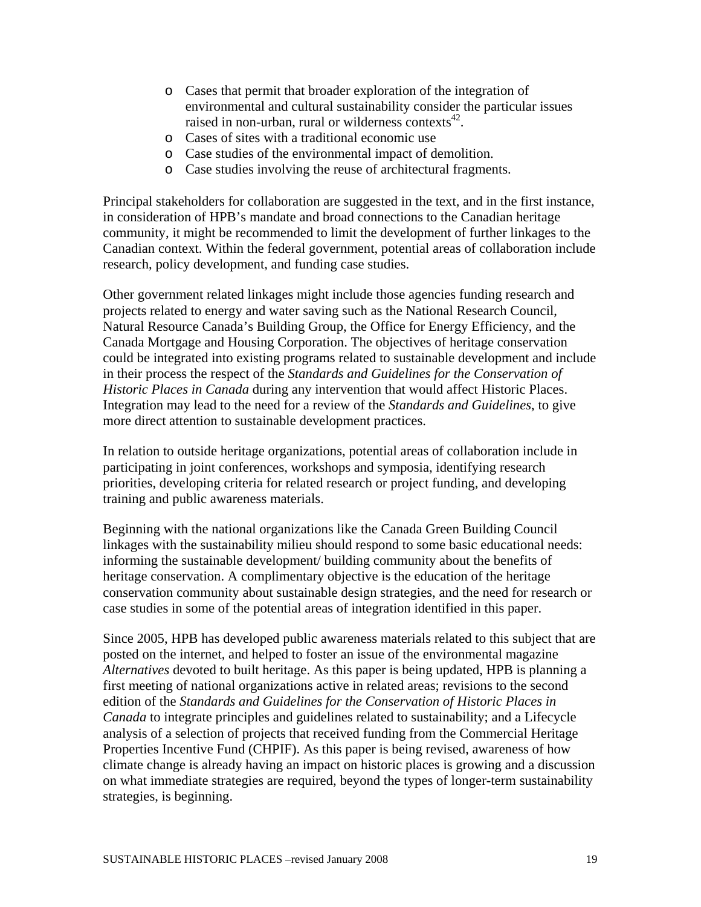- o Cases that permit that broader exploration of the integration of environmental and cultural sustainability consider the particular issues raised in non-urban, rural or wilderness contexts $^{42}$ .
- o Cases of sites with a traditional economic use
- o Case studies of the environmental impact of demolition.
- o Case studies involving the reuse of architectural fragments.

Principal stakeholders for collaboration are suggested in the text, and in the first instance, in consideration of HPB's mandate and broad connections to the Canadian heritage community, it might be recommended to limit the development of further linkages to the Canadian context. Within the federal government, potential areas of collaboration include research, policy development, and funding case studies.

Other government related linkages might include those agencies funding research and projects related to energy and water saving such as the National Research Council, Natural Resource Canada's Building Group, the Office for Energy Efficiency, and the Canada Mortgage and Housing Corporation. The objectives of heritage conservation could be integrated into existing programs related to sustainable development and include in their process the respect of the *Standards and Guidelines for the Conservation of Historic Places in Canada* during any intervention that would affect Historic Places. Integration may lead to the need for a review of the *Standards and Guidelines*, to give more direct attention to sustainable development practices.

In relation to outside heritage organizations, potential areas of collaboration include in participating in joint conferences, workshops and symposia, identifying research priorities, developing criteria for related research or project funding, and developing training and public awareness materials.

Beginning with the national organizations like the Canada Green Building Council linkages with the sustainability milieu should respond to some basic educational needs: informing the sustainable development/ building community about the benefits of heritage conservation. A complimentary objective is the education of the heritage conservation community about sustainable design strategies, and the need for research or case studies in some of the potential areas of integration identified in this paper.

Since 2005, HPB has developed public awareness materials related to this subject that are posted on the internet, and helped to foster an issue of the environmental magazine *Alternatives* devoted to built heritage. As this paper is being updated, HPB is planning a first meeting of national organizations active in related areas; revisions to the second edition of the *Standards and Guidelines for the Conservation of Historic Places in Canada* to integrate principles and guidelines related to sustainability; and a Lifecycle analysis of a selection of projects that received funding from the Commercial Heritage Properties Incentive Fund (CHPIF). As this paper is being revised, awareness of how climate change is already having an impact on historic places is growing and a discussion on what immediate strategies are required, beyond the types of longer-term sustainability strategies, is beginning.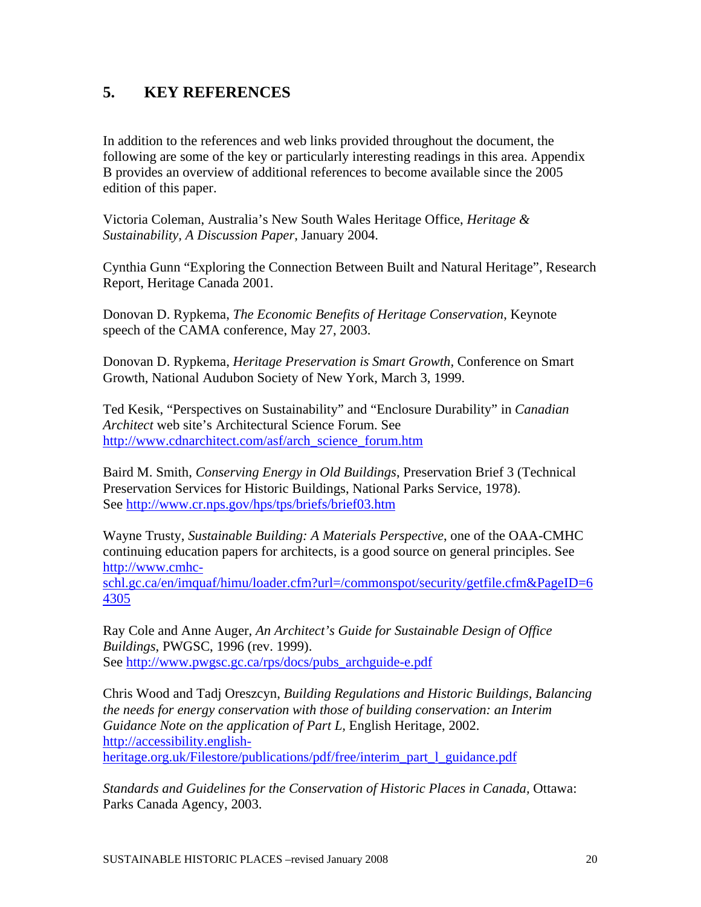# **5. KEY REFERENCES**

In addition to the references and web links provided throughout the document, the following are some of the key or particularly interesting readings in this area. Appendix B provides an overview of additional references to become available since the 2005 edition of this paper.

Victoria Coleman, Australia's New South Wales Heritage Office, *Heritage & Sustainability, A Discussion Paper*, January 2004.

Cynthia Gunn "Exploring the Connection Between Built and Natural Heritage", Research Report, Heritage Canada 2001.

Donovan D. Rypkema, *The Economic Benefits of Heritage Conservation*, Keynote speech of the CAMA conference, May 27, 2003.

Donovan D. Rypkema, *Heritage Preservation is Smart Growth,* Conference on Smart Growth, National Audubon Society of New York, March 3, 1999.

Ted Kesik, "Perspectives on Sustainability" and "Enclosure Durability" in *Canadian Architect* web site's Architectural Science Forum. See http://www.cdnarchitect.com/asf/arch\_science\_forum.htm

Baird M. Smith, *Conserving Energy in Old Buildings*, Preservation Brief 3 (Technical Preservation Services for Historic Buildings, National Parks Service, 1978). See http://www.cr.nps.gov/hps/tps/briefs/brief03.htm

Wayne Trusty, *Sustainable Building: A Materials Perspective*, one of the OAA-CMHC continuing education papers for architects, is a good source on general principles. See http://www.cmhc-

schl.gc.ca/en/imquaf/himu/loader.cfm?url=/commonspot/security/getfile.cfm&PageID=6 4305

Ray Cole and Anne Auger, *An Architect's Guide for Sustainable Design of Office Buildings*, PWGSC, 1996 (rev. 1999). See http://www.pwgsc.gc.ca/rps/docs/pubs\_archguide-e.pdf

Chris Wood and Tadj Oreszcyn, *Building Regulations and Historic Buildings, Balancing the needs for energy conservation with those of building conservation: an Interim Guidance Note on the application of Part L,* English Heritage, 2002. http://accessibility.englishheritage.org.uk/Filestore/publications/pdf/free/interim\_part\_l\_guidance.pdf

*Standards and Guidelines for the Conservation of Historic Places in Canada,* Ottawa: Parks Canada Agency, 2003.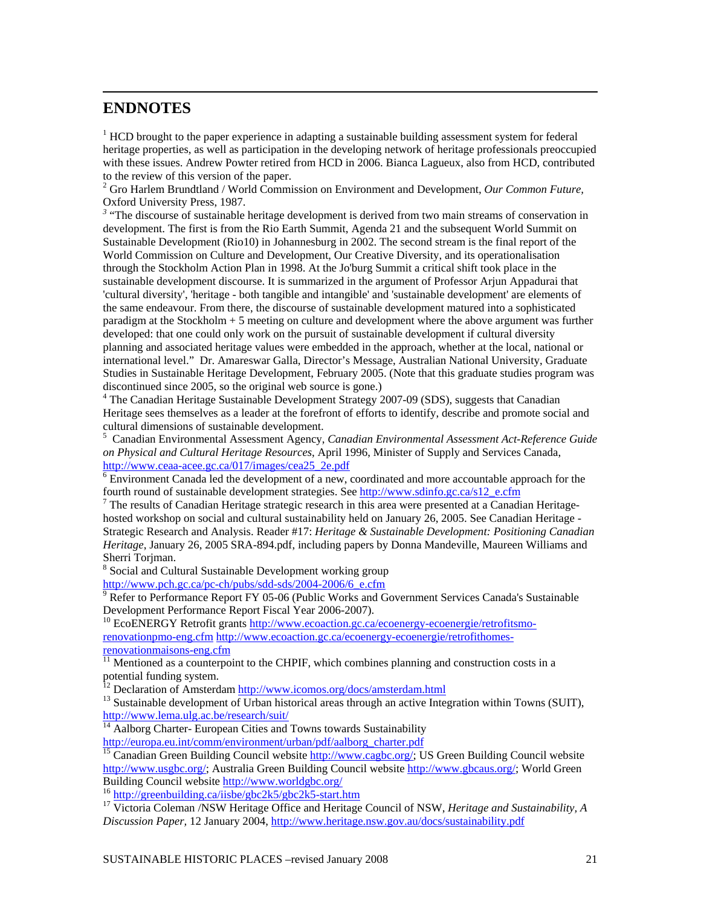# **ENDNOTES**

1

 $1$  HCD brought to the paper experience in adapting a sustainable building assessment system for federal heritage properties, as well as participation in the developing network of heritage professionals preoccupied with these issues. Andrew Powter retired from HCD in 2006. Bianca Lagueux, also from HCD, contributed to the review of this version of the paper.

2 Gro Harlem Brundtland / World Commission on Environment and Development, *Our Common Future,* Oxford University Press, 1987.

<sup>3</sup> "The discourse of sustainable heritage development is derived from two main streams of conservation in development. The first is from the Rio Earth Summit, Agenda 21 and the subsequent World Summit on Sustainable Development (Rio10) in Johannesburg in 2002. The second stream is the final report of the World Commission on Culture and Development, Our Creative Diversity, and its operationalisation through the Stockholm Action Plan in 1998. At the Jo'burg Summit a critical shift took place in the sustainable development discourse. It is summarized in the argument of Professor Arjun Appadurai that 'cultural diversity', 'heritage - both tangible and intangible' and 'sustainable development' are elements of the same endeavour. From there, the discourse of sustainable development matured into a sophisticated paradigm at the Stockholm + 5 meeting on culture and development where the above argument was further developed: that one could only work on the pursuit of sustainable development if cultural diversity planning and associated heritage values were embedded in the approach, whether at the local, national or international level." Dr. Amareswar Galla, Director's Message, Australian National University, Graduate Studies in Sustainable Heritage Development, February 2005. (Note that this graduate studies program was discontinued since 2005, so the original web source is gone.)

<sup>4</sup> The Canadian Heritage Sustainable Development Strategy 2007-09 (SDS), suggests that Canadian Heritage sees themselves as a leader at the forefront of efforts to identify, describe and promote social and cultural dimensions of sustainable development.

5 Canadian Environmental Assessment Agency, *Canadian Environmental Assessment Act-Reference Guide on Physical and Cultural Heritage Resources*, April 1996, Minister of Supply and Services Canada, http://www.ceaa-acee.gc.ca/017/images/cea25\_2e.pdf

 $\frac{1}{6}$  Environment Canada led the development of a new, coordinated and more accountable approach for the fourth round of sustainable development strategies. See http://www.sdinfo.gc.ca/s12\_e.cfm

 $\frac{7}{1}$  The results of Canadian Heritage strategic research in this area were presented at a Canadian Heritagehosted workshop on social and cultural sustainability held on January 26, 2005. See Canadian Heritage - Strategic Research and Analysis. Reader #17: *Heritage & Sustainable Development: Positioning Canadian Heritage*, January 26, 2005 SRA-894.pdf, including papers by Donna Mandeville, Maureen Williams and Sherri Torjman.

<sup>8</sup> Social and Cultural Sustainable Development working group

http://www.pch.gc.ca/pc-ch/pubs/sdd-sds/2004-2006/6\_e.cfm

 $9$  Refer to Performance Report FY 05-06 (Public Works and Government Services Canada's Sustainable Development Performance Report Fiscal Year 2006-2007).<br><sup>10</sup> EcoENERGY Retrofit grants http://www.ecoaction.gc.ca/ecoenergy-ecoenergie/retrofitsmo-

renovationpmo-eng.cfm http://www.ecoaction.gc.ca/ecoenergy-ecoenergie/retrofithomes**renovationmaisons-eng.cfm**<br> $\frac{1}{11}$ Max:

Mentioned as a counterpoint to the CHPIF, which combines planning and construction costs in a potential funding system.<br><sup>12</sup> Declaration of Amsterdam http://www.icomos.org/docs/amsterdam.html

<sup>13</sup> Sustainable development of Urban historical areas through an active Integration within Towns (SUIT), http://www.lema.ulg.ac.be/research/suit/

 $\frac{14}{14}$  Aalborg Charter- European Cities and Towns towards Sustainability http://europa.eu.int/comm/environment/urban/pdf/aalborg\_charter.pdf

<sup>15</sup> Canadian Green Building Council website http://www.cagbc.org/; US Green Building Council website http://www.usgbc.org/; Australia Green Building Council website http://www.gbcaus.org/; World Green Building Council website http://www.worldgbc.org/

<sup>16</sup> http://greenbuilding.ca/iisbe/gbc2k5/gbc2k5-start.htm <sup>17</sup> Victoria Coleman /NSW Heritage Office and Heritage Council of NSW, *Heritage and Sustainability*, *A Discussion Paper,* 12 January 2004, http://www.heritage.nsw.gov.au/docs/sustainability.pdf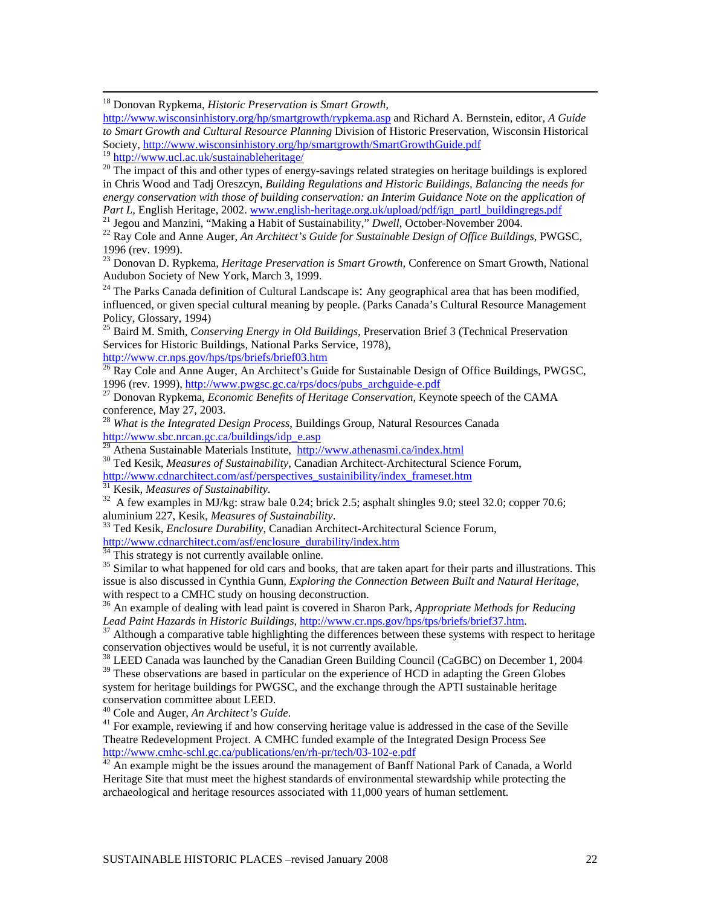18 Donovan Rypkema, *Historic Preservation is Smart Growth,*

http://www.wisconsinhistory.org/hp/smartgrowth/rypkema.asp and Richard A. Bernstein, editor, *A Guide to Smart Growth and Cultural Resource Planning* Division of Historic Preservation, Wisconsin Historical Society, http://www.wisconsinhistory.org/hp/smartgrowth/SmartGrowthGuide.pdf<sup>19</sup> http://www.ucl.ac.uk/sustainableheritage/

<sup>20</sup> The impact of this and other types of energy-savings related strategies on heritage buildings is explored in Chris Wood and Tadj Oreszcyn, *Building Regulations and Historic Buildings, Balancing the needs for energy conservation with those of building conservation: an Interim Guidance Note on the application of Part L*, English Heritage, 2002. *www.english-heritage.org.uk/upload/pdf/ign\_partl\_buildingregs.pdf* 

<sup>21</sup> Jegou and Manzini, "Making a Habit of Sustainability," *Dwell*, October-November 2004.<br><sup>22</sup> Ray Cole and Anne Auger, *An Architect's Guide for Sustainable Design of Office Buildings*, PWGSC,

1996 (rev. 1999).

23 Donovan D. Rypkema, *Heritage Preservation is Smart Growth,* Conference on Smart Growth, National Audubon Society of New York, March 3, 1999.

<sup>24</sup> The Parks Canada definition of Cultural Landscape is: Any geographical area that has been modified, influenced, or given special cultural meaning by people. (Parks Canada's Cultural Resource Management Policy, Glossary, 1994)

25 Baird M. Smith, *Conserving Energy in Old Buildings*, Preservation Brief 3 (Technical Preservation Services for Historic Buildings, National Parks Service, 1978),

http://www.cr.nps.gov/hps/tps/briefs/brief03.htm

<sup>26</sup> Ray Cole and Anne Auger, An Architect's Guide for Sustainable Design of Office Buildings, PWGSC,

1996 (rev. 1999), http://www.pwgsc.gc.ca/rps/docs/pubs\_archguide-e.pdf 27 Donovan Rypkema, *Economic Benefits of Heritage Conservation*, Keynote speech of the CAMA conference, May 27, 2003.

<sup>28</sup> *What is the Integrated Design Process*, Buildings Group, Natural Resources Canada http://www.sbc.nrcan.gc.ca/buildings/idp\_e.asp<br><sup>29</sup> Athena Sustainable Materials Institute, http://www.athenasmi.ca/index.html

<sup>30</sup> Ted Kesik, *Measures of Sustainability*, Canadian Architect-Architectural Science Forum, http://www.cdnarchitect.com/asf/perspectives sustainibility/index frameset.htm

<sup>31</sup> Kesik, *Measures of Sustainability*.<br><sup>32</sup> A few examples in MJ/kg: straw bale 0.24; brick 2.5; asphalt shingles 9.0; steel 32.0; copper 70.6; aluminium 227, Kesik, *Measures of Sustainability*. 33 Ted Kesik, *Enclosure Durability*, Canadian Architect-Architectural Science Forum,

http://www.cdnarchitect.com/asf/enclosure\_durability/index.htm <sup>34</sup> This strategy is not currently available online.

<sup>35</sup> Similar to what happened for old cars and books, that are taken apart for their parts and illustrations. This issue is also discussed in Cynthia Gunn, *Exploring the Connection Between Built and Natural Heritage,*  with respect to a CMHC study on housing deconstruction.

<sup>36</sup> An example of dealing with lead paint is covered in Sharon Park, *Appropriate Methods for Reducing Lead Paint Hazards in Historic Buildings*, http://www.cr.nps.gov/hps/tps/briefs/brief37.htm.

<sup>37</sup> Although a comparative table highlighting the differences between these systems with respect to heritage conservation objectives would be useful, it is not currently available.

<sup>38</sup> LEED Canada was launched by the Canadian Green Building Council (CaGBC) on December 1, 2004

 $39$  These observations are based in particular on the experience of HCD in adapting the Green Globes system for heritage buildings for PWGSC, and the exchange through the APTI sustainable heritage conservation committee about LEED.<br><sup>40</sup> Cole and Auger, *An Architect's Guide*.

<sup>41</sup> For example, reviewing if and how conserving heritage value is addressed in the case of the Seville Theatre Redevelopment Project. A CMHC funded example of the Integrated Design Process See http://www.cmhc-schl.gc.ca/publications/en/rh-pr/tech/03-102-e.pdf<br><sup>42</sup> An example might be the issues around the management of Banff National Park of Canada, a World

Heritage Site that must meet the highest standards of environmental stewardship while protecting the archaeological and heritage resources associated with 11,000 years of human settlement.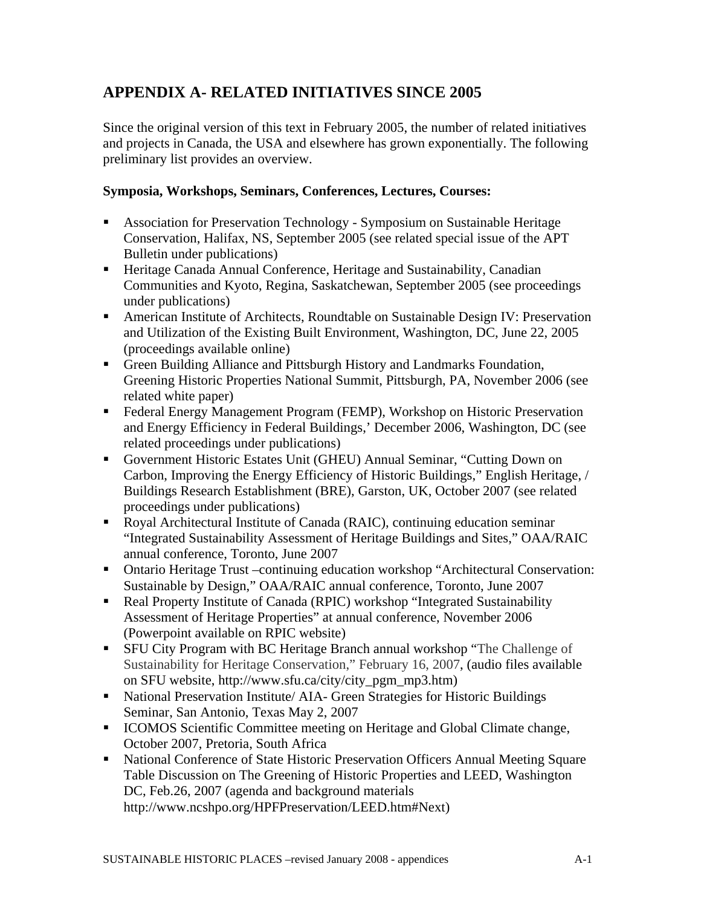# **APPENDIX A- RELATED INITIATIVES SINCE 2005**

Since the original version of this text in February 2005, the number of related initiatives and projects in Canada, the USA and elsewhere has grown exponentially. The following preliminary list provides an overview.

## **Symposia, Workshops, Seminars, Conferences, Lectures, Courses:**

- Association for Preservation Technology Symposium on Sustainable Heritage Conservation, Halifax, NS, September 2005 (see related special issue of the APT Bulletin under publications)
- Heritage Canada Annual Conference, Heritage and Sustainability, Canadian Communities and Kyoto, Regina, Saskatchewan, September 2005 (see proceedings under publications)
- American Institute of Architects, Roundtable on Sustainable Design IV: Preservation and Utilization of the Existing Built Environment, Washington, DC, June 22, 2005 (proceedings available online)
- Green Building Alliance and Pittsburgh History and Landmarks Foundation, Greening Historic Properties National Summit, Pittsburgh, PA, November 2006 (see related white paper)
- Federal Energy Management Program (FEMP), Workshop on Historic Preservation and Energy Efficiency in Federal Buildings,' December 2006, Washington, DC (see related proceedings under publications)
- Government Historic Estates Unit (GHEU) Annual Seminar, "Cutting Down on Carbon, Improving the Energy Efficiency of Historic Buildings," English Heritage, / Buildings Research Establishment (BRE), Garston, UK, October 2007 (see related proceedings under publications)
- Royal Architectural Institute of Canada (RAIC), continuing education seminar "Integrated Sustainability Assessment of Heritage Buildings and Sites," OAA/RAIC annual conference, Toronto, June 2007
- Ontario Heritage Trust –continuing education workshop "Architectural Conservation: Sustainable by Design," OAA/RAIC annual conference, Toronto, June 2007
- Real Property Institute of Canada (RPIC) workshop "Integrated Sustainability Assessment of Heritage Properties" at annual conference, November 2006 (Powerpoint available on RPIC website)
- SFU City Program with BC Heritage Branch annual workshop "The Challenge of Sustainability for Heritage Conservation," February 16, 2007, (audio files available on SFU website, http://www.sfu.ca/city/city\_pgm\_mp3.htm)
- National Preservation Institute/ AIA- Green Strategies for Historic Buildings Seminar, San Antonio, Texas May 2, 2007
- ICOMOS Scientific Committee meeting on Heritage and Global Climate change, October 2007, Pretoria, South Africa
- National Conference of State Historic Preservation Officers Annual Meeting Square Table Discussion on The Greening of Historic Properties and LEED, Washington DC, Feb.26, 2007 (agenda and background materials http://www.ncshpo.org/HPFPreservation/LEED.htm#Next)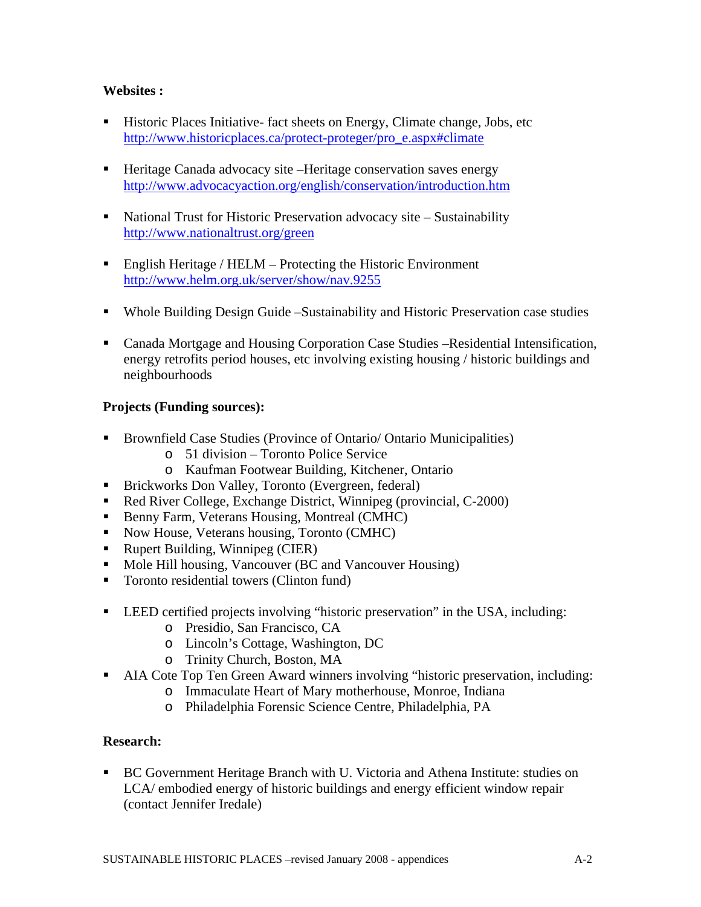## **Websites :**

- **Historic Places Initiative-fact sheets on Energy, Climate change, Jobs, etc** http://www.historicplaces.ca/protect-proteger/pro\_e.aspx#climate
- Heritage Canada advocacy site –Heritage conservation saves energy http://www.advocacyaction.org/english/conservation/introduction.htm
- National Trust for Historic Preservation advocacy site Sustainability http://www.nationaltrust.org/green
- **English Heritage / HELM Protecting the Historic Environment** http://www.helm.org.uk/server/show/nav.9255
- Whole Building Design Guide –Sustainability and Historic Preservation case studies
- Canada Mortgage and Housing Corporation Case Studies –Residential Intensification, energy retrofits period houses, etc involving existing housing / historic buildings and neighbourhoods

## **Projects (Funding sources):**

- Brownfield Case Studies (Province of Ontario/ Ontario Municipalities)
	- o 51 division Toronto Police Service
	- o Kaufman Footwear Building, Kitchener, Ontario
- **Brickworks Don Valley, Toronto (Evergreen, federal)**
- Red River College, Exchange District, Winnipeg (provincial, C-2000)
- Benny Farm, Veterans Housing, Montreal (CMHC)
- Now House, Veterans housing, Toronto (CMHC)
- Rupert Building, Winnipeg (CIER)
- Mole Hill housing, Vancouver (BC and Vancouver Housing)
- Toronto residential towers (Clinton fund)
- LEED certified projects involving "historic preservation" in the USA, including:
	- o Presidio, San Francisco, CA
	- o Lincoln's Cottage, Washington, DC
	- o Trinity Church, Boston, MA
- AIA Cote Top Ten Green Award winners involving "historic preservation, including:
	- o Immaculate Heart of Mary motherhouse, Monroe, Indiana
	- o Philadelphia Forensic Science Centre, Philadelphia, PA

## **Research:**

■ BC Government Heritage Branch with U. Victoria and Athena Institute: studies on LCA/ embodied energy of historic buildings and energy efficient window repair (contact Jennifer Iredale)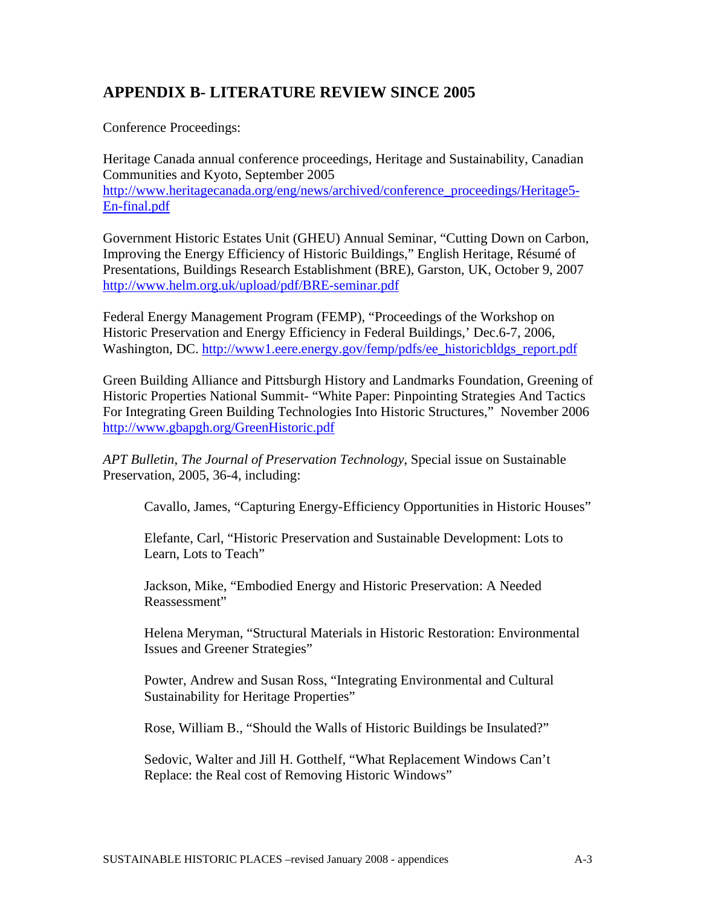# **APPENDIX B- LITERATURE REVIEW SINCE 2005**

Conference Proceedings:

Heritage Canada annual conference proceedings, Heritage and Sustainability, Canadian Communities and Kyoto, September 2005 http://www.heritagecanada.org/eng/news/archived/conference\_proceedings/Heritage5-En-final.pdf

Government Historic Estates Unit (GHEU) Annual Seminar, "Cutting Down on Carbon, Improving the Energy Efficiency of Historic Buildings," English Heritage, Résumé of Presentations, Buildings Research Establishment (BRE), Garston, UK, October 9, 2007 http://www.helm.org.uk/upload/pdf/BRE-seminar.pdf

Federal Energy Management Program (FEMP), "Proceedings of the Workshop on Historic Preservation and Energy Efficiency in Federal Buildings,' Dec.6-7, 2006, Washington, DC. http://www1.eere.energy.gov/femp/pdfs/ee\_historicbldgs\_report.pdf

Green Building Alliance and Pittsburgh History and Landmarks Foundation, Greening of Historic Properties National Summit- "White Paper: Pinpointing Strategies And Tactics For Integrating Green Building Technologies Into Historic Structures," November 2006 http://www.gbapgh.org/GreenHistoric.pdf

*APT Bulletin*, *The Journal of Preservation Technology*, Special issue on Sustainable Preservation, 2005, 36-4, including:

Cavallo, James, "Capturing Energy-Efficiency Opportunities in Historic Houses"

Elefante, Carl, "Historic Preservation and Sustainable Development: Lots to Learn, Lots to Teach"

Jackson, Mike, "Embodied Energy and Historic Preservation: A Needed Reassessment"

Helena Meryman, "Structural Materials in Historic Restoration: Environmental Issues and Greener Strategies"

Powter, Andrew and Susan Ross, "Integrating Environmental and Cultural Sustainability for Heritage Properties"

Rose, William B., "Should the Walls of Historic Buildings be Insulated?"

Sedovic, Walter and Jill H. Gotthelf, "What Replacement Windows Can't Replace: the Real cost of Removing Historic Windows"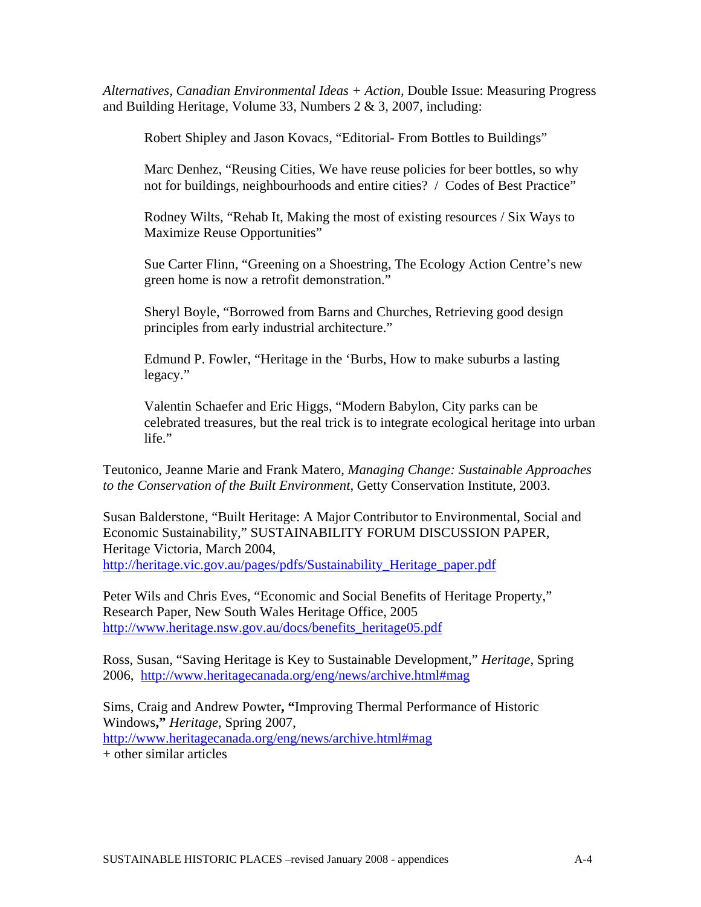*Alternatives, Canadian Environmental Ideas + Action,* Double Issue: Measuring Progress and Building Heritage, Volume 33, Numbers 2 & 3, 2007, including:

Robert Shipley and Jason Kovacs, "Editorial- From Bottles to Buildings"

Marc Denhez, "Reusing Cities, We have reuse policies for beer bottles, so why not for buildings, neighbourhoods and entire cities? / Codes of Best Practice"

Rodney Wilts, "Rehab It, Making the most of existing resources / Six Ways to Maximize Reuse Opportunities"

Sue Carter Flinn, "Greening on a Shoestring, The Ecology Action Centre's new green home is now a retrofit demonstration."

Sheryl Boyle, "Borrowed from Barns and Churches, Retrieving good design principles from early industrial architecture."

Edmund P. Fowler, "Heritage in the 'Burbs, How to make suburbs a lasting legacy."

Valentin Schaefer and Eric Higgs, "Modern Babylon, City parks can be celebrated treasures, but the real trick is to integrate ecological heritage into urban life."

Teutonico, Jeanne Marie and Frank Matero, *Managing Change: Sustainable Approaches to the Conservation of the Built Environment*, Getty Conservation Institute, 2003.

Susan Balderstone, "Built Heritage: A Major Contributor to Environmental, Social and Economic Sustainability," SUSTAINABILITY FORUM DISCUSSION PAPER, Heritage Victoria, March 2004, http://heritage.vic.gov.au/pages/pdfs/Sustainability\_Heritage\_paper.pdf

Peter Wils and Chris Eves, "Economic and Social Benefits of Heritage Property," Research Paper, New South Wales Heritage Office, 2005 http://www.heritage.nsw.gov.au/docs/benefits\_heritage05.pdf

Ross, Susan, "Saving Heritage is Key to Sustainable Development," *Heritage*, Spring 2006, http://www.heritagecanada.org/eng/news/archive.html#mag

Sims, Craig and Andrew Powter**, "**Improving Thermal Performance of Historic Windows**,"** *Heritage*, Spring 2007, http://www.heritagecanada.org/eng/news/archive.html#mag + other similar articles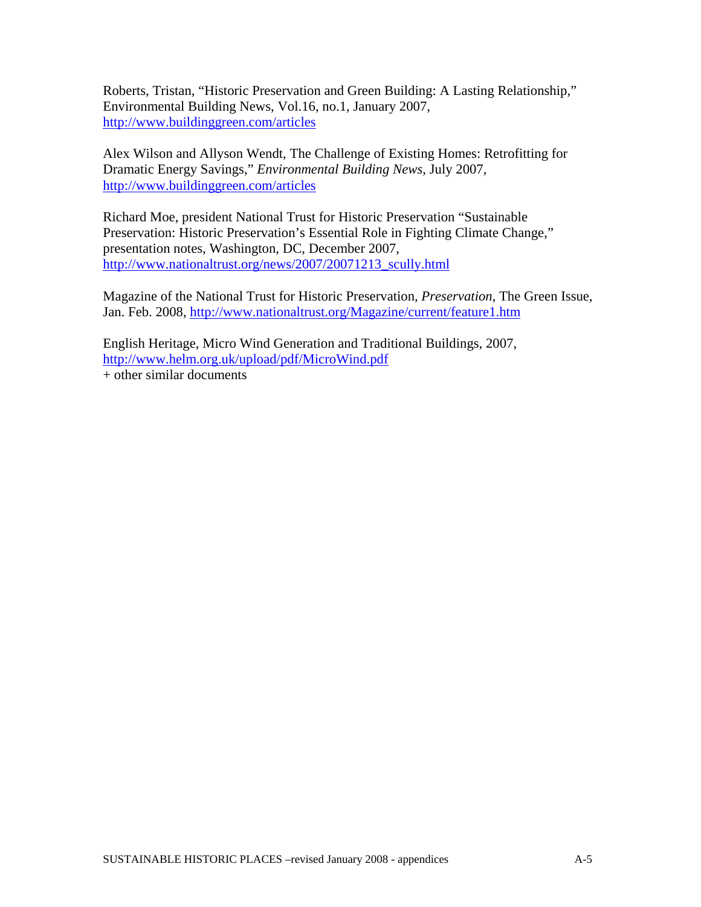Roberts, Tristan, "Historic Preservation and Green Building: A Lasting Relationship," Environmental Building News, Vol.16, no.1, January 2007, http://www.buildinggreen.com/articles

Alex Wilson and Allyson Wendt, The Challenge of Existing Homes: Retrofitting for Dramatic Energy Savings," *Environmental Building News*, July 2007, http://www.buildinggreen.com/articles

Richard Moe, president National Trust for Historic Preservation "Sustainable Preservation: Historic Preservation's Essential Role in Fighting Climate Change," presentation notes, Washington, DC, December 2007, http://www.nationaltrust.org/news/2007/20071213\_scully.html

Magazine of the National Trust for Historic Preservation*, Preservation*, The Green Issue, Jan. Feb. 2008, http://www.nationaltrust.org/Magazine/current/feature1.htm

English Heritage, Micro Wind Generation and Traditional Buildings, 2007, http://www.helm.org.uk/upload/pdf/MicroWind.pdf  $+$  other similar documents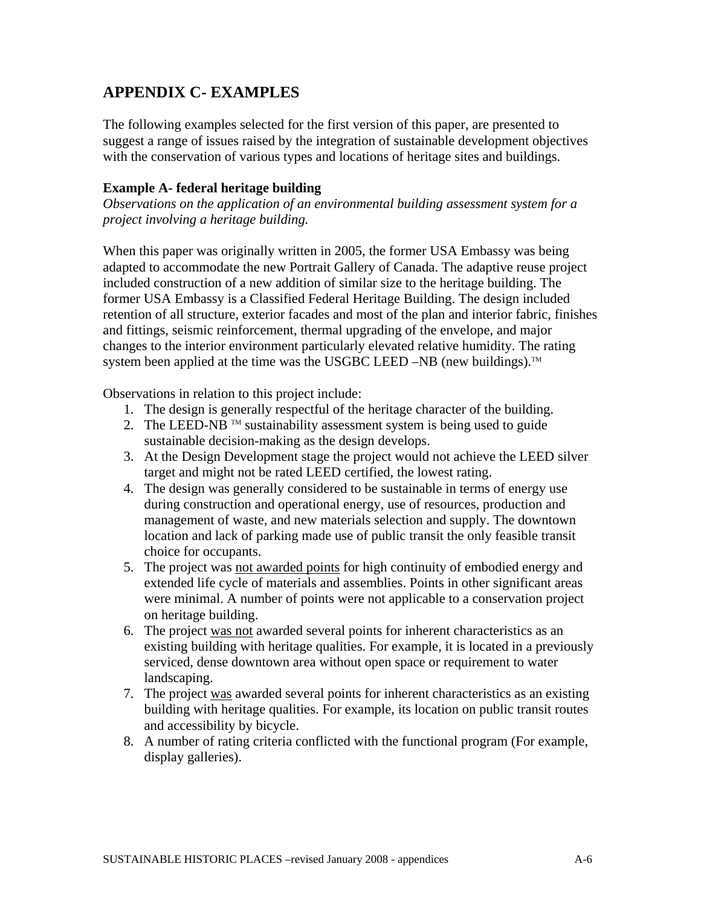# **APPENDIX C- EXAMPLES**

The following examples selected for the first version of this paper, are presented to suggest a range of issues raised by the integration of sustainable development objectives with the conservation of various types and locations of heritage sites and buildings.

#### **Example A- federal heritage building**

*Observations on the application of an environmental building assessment system for a project involving a heritage building.* 

When this paper was originally written in 2005, the former USA Embassy was being adapted to accommodate the new Portrait Gallery of Canada. The adaptive reuse project included construction of a new addition of similar size to the heritage building. The former USA Embassy is a Classified Federal Heritage Building. The design included retention of all structure, exterior facades and most of the plan and interior fabric, finishes and fittings, seismic reinforcement, thermal upgrading of the envelope, and major changes to the interior environment particularly elevated relative humidity. The rating system been applied at the time was the USGBC LEED –NB (new buildings).<sup>TM</sup>

Observations in relation to this project include:

- 1. The design is generally respectful of the heritage character of the building.
- 2. The LEED-NB  $^{TM}$  sustainability assessment system is being used to guide sustainable decision-making as the design develops.
- 3. At the Design Development stage the project would not achieve the LEED silver target and might not be rated LEED certified, the lowest rating.
- 4. The design was generally considered to be sustainable in terms of energy use during construction and operational energy, use of resources, production and management of waste, and new materials selection and supply. The downtown location and lack of parking made use of public transit the only feasible transit choice for occupants.
- 5. The project was not awarded points for high continuity of embodied energy and extended life cycle of materials and assemblies. Points in other significant areas were minimal. A number of points were not applicable to a conservation project on heritage building.
- 6. The project was not awarded several points for inherent characteristics as an existing building with heritage qualities. For example, it is located in a previously serviced, dense downtown area without open space or requirement to water landscaping.
- 7. The project was awarded several points for inherent characteristics as an existing building with heritage qualities. For example, its location on public transit routes and accessibility by bicycle.
- 8. A number of rating criteria conflicted with the functional program (For example, display galleries).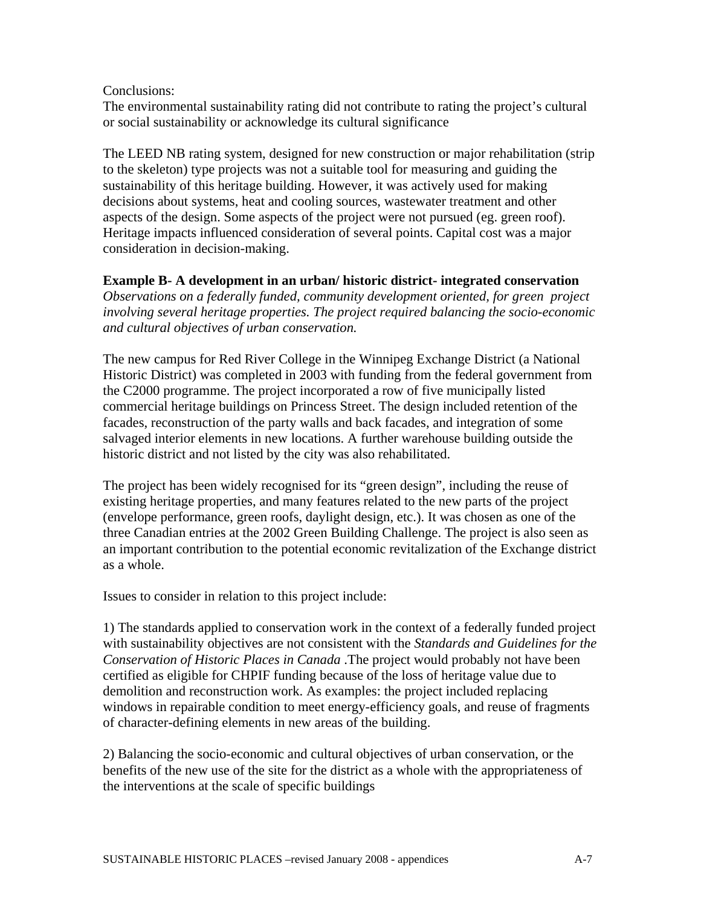#### Conclusions:

The environmental sustainability rating did not contribute to rating the project's cultural or social sustainability or acknowledge its cultural significance

The LEED NB rating system, designed for new construction or major rehabilitation (strip to the skeleton) type projects was not a suitable tool for measuring and guiding the sustainability of this heritage building. However, it was actively used for making decisions about systems, heat and cooling sources, wastewater treatment and other aspects of the design. Some aspects of the project were not pursued (eg. green roof). Heritage impacts influenced consideration of several points. Capital cost was a major consideration in decision-making.

**Example B- A development in an urban/ historic district- integrated conservation**  *Observations on a federally funded, community development oriented, for green project involving several heritage properties. The project required balancing the socio-economic and cultural objectives of urban conservation.* 

The new campus for Red River College in the Winnipeg Exchange District (a National Historic District) was completed in 2003 with funding from the federal government from the C2000 programme. The project incorporated a row of five municipally listed commercial heritage buildings on Princess Street. The design included retention of the facades, reconstruction of the party walls and back facades, and integration of some salvaged interior elements in new locations. A further warehouse building outside the historic district and not listed by the city was also rehabilitated.

The project has been widely recognised for its "green design", including the reuse of existing heritage properties, and many features related to the new parts of the project (envelope performance, green roofs, daylight design, etc.). It was chosen as one of the three Canadian entries at the 2002 Green Building Challenge. The project is also seen as an important contribution to the potential economic revitalization of the Exchange district as a whole.

Issues to consider in relation to this project include:

1) The standards applied to conservation work in the context of a federally funded project with sustainability objectives are not consistent with the *Standards and Guidelines for the Conservation of Historic Places in Canada* .The project would probably not have been certified as eligible for CHPIF funding because of the loss of heritage value due to demolition and reconstruction work. As examples: the project included replacing windows in repairable condition to meet energy-efficiency goals, and reuse of fragments of character-defining elements in new areas of the building.

2) Balancing the socio-economic and cultural objectives of urban conservation, or the benefits of the new use of the site for the district as a whole with the appropriateness of the interventions at the scale of specific buildings